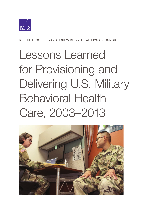

KRISTIE L. GORE, RYAN ANDREW BROWN, KATHRYN O'CONNOR

# Lessons Learned for Provisioning and [Delivering U.S. Military](https://www.rand.org/pubs/research_reports/RRA391-1.html)  Behavioral Health Care, 2003–2013

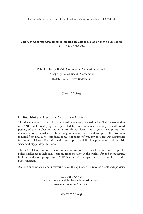For more information on this publication, visit www.rand.org/t/RRA391-1

**Library of Congress Cataloging-in-Publication Data** is available for this publication. ISBN: 978-1-9774-0651-4

> Published by the RAND Corporation, Santa Monica, Calif. © Copyright 2021 RAND Corporation RAND<sup>®</sup> is a registered trademark.

> > *Cover: U.S. Army.*

#### Limited Print and Electronic Distribution Rights

This document and trademark(s) contained herein are protected by law. This representation of RAND intellectual property is provided for noncommercial use only. Unauthorized posting of this publication online is prohibited. Permission is given to duplicate this document for personal use only, as long as it is unaltered and complete. Permission is required from RAND to repro[duce, or reuse in another form,](http://www.rand.org/giving/contribute) any of its research documents for commercial use. For information on reprint and linking permissions, please visit www.rand.org/pubs/permissions.

The RAND Corporation is a research organization that develops solutions to public policy challenges to help make communities throughout the world safer and more secure, healthier and more prosperous. RAND is nonprofit, nonpartisan, and committed to the public interest.

RAND's publications do not necessarily reflect the opinions of its research clients and sponsors.

Support RAND Make a tax-deductible charitable contribution at www.rand.org/giving/contribute

www.rand.org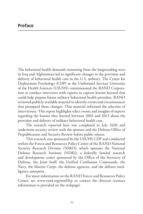# **Preface**

The behavioral health demands stemming from the longstanding wars in Iraq and Afghanistan led to significant changes in the provision and delivery of behavioral health care in the U.S. military. The Center for Deployment Psychology (CDP) at the Uniformed Services University of the Health Sciences (USUHS) commissioned the RAND Corporation to conduct interviews with experts to capture lessons learned that could help prepare future military behavioral health providers. RAND reviewed publicly available material to identify events and circumstances that prompted those changes. That material informed the selection of interviewees. This report highlights select events and insights of experts regarding the lessons they learned between 2003 and 2013 about the provision and delivery of military behavioral health care.

The research reported here was completed in July 2020 and underwent security review with the sponsor and the Defense Office of Prepublicati[on and Security Review](http://www.rand.org/nsrd/frp) before public release.

This research was sponsored by the USUHS CDP and conducted within the Forces and Resources Policy Center of the RAND National Security Research Division (NSRD), which operates the National Defense Research Institute (NDRI), a federally funded research and development center sponsored by the Office of the Secretary of Defense, the Joint Staff, the Unified Combatant Commands, the Navy, the Marine Corps, the defense agencies, and the defense intelligence enterprise.

For more information on the RAND Forces and Resources Policy Center, see www.rand.org/nsrd/frp or contact the director (contact information is provided on the webpage).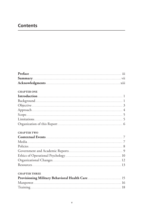# **Contents**

| <b>CHAPTER ONE</b>                               |  |
|--------------------------------------------------|--|
|                                                  |  |
|                                                  |  |
|                                                  |  |
|                                                  |  |
|                                                  |  |
|                                                  |  |
|                                                  |  |
| <b>CHAPTER TWO</b>                               |  |
|                                                  |  |
|                                                  |  |
|                                                  |  |
|                                                  |  |
|                                                  |  |
|                                                  |  |
|                                                  |  |
| <b>CHAPTER THREE</b>                             |  |
| Provisioning Military Behavioral Health Care  15 |  |
|                                                  |  |
|                                                  |  |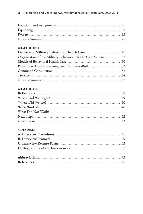#### **CHAPTER FOUR**

| Organization of the Military Behavioral Health Care System  27 |  |
|----------------------------------------------------------------|--|
|                                                                |  |
| Prevention: Health Screening and Resilience-Building 32        |  |
|                                                                |  |
|                                                                |  |
|                                                                |  |

#### **CHAPTER FIVE**

#### **APPENDIXES**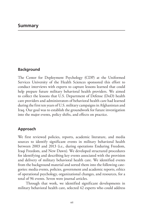## **Background**

The Center for Deployment Psychology (CDP) at the Uniformed Services University of the Health Sciences sponsored this effort to conduct interviews with experts to capture lessons learned that could help prepare future military behavioral health providers. We aimed to collect the lessons that U.S. Department of Defense (DoD) health care providers and administrators of behavioral health care had learned during the first ten years of U.S. military campaigns in Afghanistan and Iraq. Our goal was to establish the groundwork for future investigation into the major events, policy shifts, and effects on practice.

## **Approach**

We first reviewed policies, reports, academic literature, and media sources to identify significant events in military behavioral health between 2003 and 2013 (i.e., during operations Enduring Freedom, Iraqi Freedom, and New Dawn). We developed structured procedures for identifying and describing key events associated with the provision and delivery of military behavioral health care. We identified events from the background material and sorted them into the following categories: media events, policies, government and academic reports, ethics of operational psychology, organizational changes, and resources, for a total of 96 events. Seven were journal articles.

Through that work, we identified significant developments in military behavioral health care, selected 42 experts who could address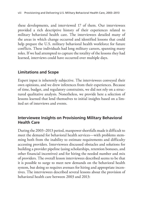these developments, and interviewed 17 of them. Our interviewees provided a rich descriptive history of their experiences related to military behavioral health care. The interviewees detailed many of the areas in which change occurred and identified lessons that could help prepare the U.S. military behavioral health workforce for future conflicts. These individuals had long military careers, spanning many roles. If we had attempted to capture the totality of the lessons they had learned, interviews could have occurred over multiple days.

## **Limitations and Scope**

Expert input is inherently subjective. The interviewees conveyed their own opinions, and we drew inferences from their experiences. Because of time, budget, and regulatory constraints, we did not rely on a structured qualitative analysis. Nonetheless, we provide here a selection of lessons learned that lend themselves to initial insights based on a limited set of interviews and events.

## **Interviewee Insights on Provisioning Military Behavioral Health Care**

During the 2003–2013 period, manpower shortfalls made it difficult to meet the demand for behavioral health services—with problems stemming both from the inability to estimate requirements and difficulty accessing providers. Interviewees discussed obstacles and solutions for building a provider pipeline (using scholarships, retention bonuses, and other financial incentives) and for hiring the needed number and mix of providers. The overall lesson interviewees described seems to be that it is possible to surge to meet new demands on the behavioral health system, but doing so requires avenues for hiring and appropriate incentives. The interviewees described several lessons about the provision of behavioral health care between 2003 and 2013: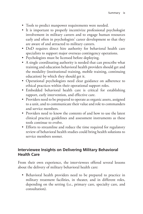- Tools to predict manpower requirements were needed.
- It is important to properly incentivize professional psychologist involvement in military careers and to engage human resources early and often in psychologists' career development so that they are aware of and attracted to military careers.
- DoD requires direct hire authority for behavioral health care specialists to support major overseas contingency operations.
- Psychologists must be licensed before deploying.
- A single coordinating authority is needed that can prescribe what training and education behavioral health providers should get and the modality (institutional training, mobile training, continuing education) by which they should get it.
- Operational psychologists need clear guidance on adherence to ethical practices within their operational support roles.
- Embedded behavioral health care is critical for establishing rapport, early intervention, and effective care.
- Providers need to be prepared to operate as organic assets, assigned to a unit, and to communicate their value and role to commanders and service members.
- Providers need to know the contents of and how to use the latest clinical practice guidelines and assessment instruments as these tools continue to evolve.
- Efforts to streamline and reduce the time required for regulatory review of behavioral health studies could bring health solutions to service members sooner.

## **Interviewee Insights on Delivering Military Behavioral Health Care**

From their own experience, the interviewees offered several lessons about the delivery of military behavioral health care:

• Behavioral health providers need to be prepared to practice in military treatment facilities, in theater, and in different roles, depending on the setting (i.e., primary care, specialty care, and consultation).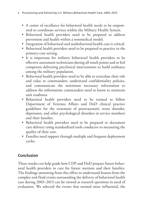- A center of excellence for behavioral health needs to be empowered to coordinate services within the Military Health System.
- Behavioral health providers need to be prepared to address prevention and health within a nonmedical model.
- Integration of behavioral and nonbehavioral health care is critical.
- Behavioral health providers need to be prepared to practice in the primary-care setting.
- It is important for military behavioral health providers to be effective assessment technicians during all touch points and to feel competent delivering preclinical interventions to build resilience among the military population.
- Behavioral health providers need to be able to articulate their role and value to commanders, understand confidentiality policies, and communicate the minimum necessary information to address the information commanders need to know to maintain unit readiness.
- Behavioral health providers need to be trained to follow Department of Veterans Affairs and DoD clinical practice guidelines for the treatment of posttraumatic stress disorder, depression, and other psychological disorders in service members and their families.
- Behavioral health providers need to be prepared to document care delivery using standardized tools conducive to measuring the quality of their care.
- Families need support through multiple and frequent deployment cycles.

# **Conclusion**

These results can help guide how CDP and DoD prepare future behavioral health providers to care for future warriors and their families. The findings stemming from this effort to understand lessons from the complex and fluid events surrounding the delivery of behavioral health care during 2003–2013 can be viewed as research questions in need of evaluation. We selected the events that seemed most influential, the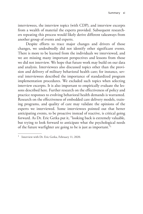interviewees, the interview topics (with CDP), and interview excerpts from a wealth of material the experts provided. Subsequent researchers repeating this process would likely derive different takeaways from another group of events and experts.

Despite efforts to trace major changes and drivers of those changes, we undoubtedly did not identify other significant events. There is more to be learned from the individuals we interviewed, and we are missing many important perspectives and lessons from those we did not interview. We hope that future work may build on our data and analysis. Interviewees also discussed topics other than the provision and delivery of military behavioral health care; for instance, several interviewees described the importance of standardized program implementation procedures. We excluded such topics when selecting interview excerpts. It is also important to empirically evaluate the lessons described here. Further research on the effectiveness of policy and practice responses to evolving behavioral health demands is warranted. Research on the effectiveness of embedded care delivery models, training programs, and quality of care may validate the opinions of the experts we interviewed. Some interviewees pointed out that better anticipating events, to be proactive instead of reactive, is critical going forward. As Dr. Eric Getka put it, "looking back is extremely valuable, but trying to look forward to anticipate what the psychological needs of the future warfighter are going to be is just as important."1

<sup>&</sup>lt;sup>1</sup> Interview with Dr. Eric Getka, February 11, 2020.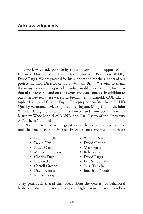This work was made possible by the sponsorship and support of the Executive Director of the Center for Deployment Psychology (CDP), David Riggs. We are grateful for his support and for the support of our project monitor, Director of CDP, William Brim. We wish to thank the many experts who provided indispensable input during formulation of the research and on the events and data sources: In addition to our interviewees, these were Lisa French, Jenna Ermold, COL Christopher Ivany, and Charles Engel. This project benefited from RAND Quality Assurance reviews by Lisa Harrington, Molly McIntosh, John Winkler, Craig Bond, and James Powers and from peer reviews by Matthew Wade Markel of RAND and Carl Castro of the University of Southern California.

We want to express our gratitude to the following experts, who took the time to share their extensive experiences and insights with us:

- Peter Chiarelli
- David Chu
- Bruce Crow
- Michael Dinneen
- Charles Engel
- Eric Getka
- Carroll Greene
- David Kieran
- Robert Lippy
- William Nash
- David Orman
- Mark Paris
- Rebecca Porter
- David Riggs
- Eric Schoomaker
- Terri Tanielian
- Jonathan Woodson

They generously shared their ideas about the delivery of behavioral health care during the wars in Iraq and Afghanistan. Their tremendous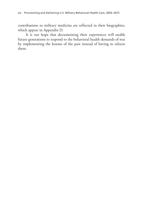contributions to military medicine are reflected in their biographies, which appear in Appendix D.

It is our hope that documenting their experiences will enable future generations to respond to the behavioral health demands of war by implementing the lessons of the past instead of having to relearn them.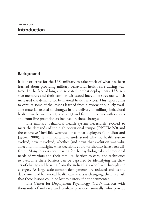#### **Background**

It is instructive for the U.S. military to take stock of what has been learned about providing military behavioral health care during wartime. In the face of long and repeated combat deployments, U.S. service members and their families withstood incredible stressors, which increased the demand for behavioral health services. This report aims to capture some of the lessons learned from a review of publicly available material related to changes in the delivery of military behavioral health care between 2003 and 2013 and from interviews with experts and front-line practitioners involved in these changes.

The military behavioral health system necessarily evolved to meet the demands of the high operational tempo (OPTEMPO) and the extensive "invisible wounds" of combat deployers (Tanielian and Jaycox, 2008). It is important to understand why the health system evolved; how it evolved; whether (and how) that evolution was valuable; and, in hindsight, what decisions could (or should) have been different. Many lessons about caring for the psychological and emotional needs of warriors and their families, barriers to care, and techniques to overcome these barriers can be captured by identifying the drivers of change and hearing from the individuals who lived through the changes. As large-scale combat deployments are reduced and as the deployment of behavioral health care assets is changing, there is a risk that these lessons could be lost to history if not documented.

The Center for Deployment Psychology (CDP) interacts with thousands of military and civilian providers annually who provide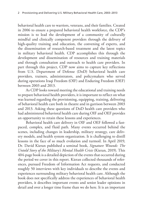behavioral health care to warriors, veterans, and their families. Created in 2006 to ensure a prepared behavioral health workforce, the CDP's mission is to lead the development of a community of culturally mindful and clinically competent providers through the delivery of high-quality training and education, the convening of experts, and the dissemination of research-based treatment and the latest topics in military behavioral health. CDP accomplishes this through the development and dissemination of resources and training materials and through consultation and outreach to health care providers. In part through this project, CDP now aims to capture key reflections from U.S. Department of Defense (DoD) behavioral health care providers, trainers, administrators, and policymakers who served during operations Iraqi Freedom (OIF) and Enduring Freedom (OEF) between 2003 and 2013.

As CDP looks toward meeting the educational and training needs to prepare behavioral health providers, it is important to reflect on what was learned regarding the provisioning, equipping, training, delivering of behavioral health care both in theatre and in garrison between 2003 and 2013. Asking these questions of DoD health care providers who had administered behavioral health care during OIF and OEF provides an opportunity to retain these lessons and experiences.

Behavioral health care delivery in OIF and OEF followed a fastpaced, complex, and fluid path. Many events occurred behind the scenes, including changes in leadership, military strategy, care delivery models, and health system organization. It is challenging to distill lessons in the face of so much evolution and turmoil. In April 2019, Dr. David Kieran published a seminal book, *Signature Wounds: The Untold Story of the Military's Mental Health Crisis* (Kieran, 2019). This 404-page book is a detailed depiction of the events that occurred during the period we cover in this report. Kieran collected thousands of references, pursued Freedom of Information Act requests, and conducted roughly 50 interviews with key individuals to describe the events and experiences surrounding military behavioral health care. Although the book does not specifically address the experiences of behavioral health providers, it describes important events and senior leader opinions in detail and over a longer time frame than we do here. It is an important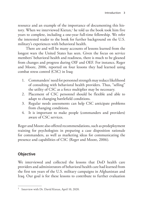resource and an example of the importance of documenting this history. When we interviewed Kieran,<sup>1</sup> he told us the book took him five years to complete, including a one-year full-time fellowship. We refer the interested reader to the book for further background on the U.S. military's experiences with behavioral health.

There are and will be many accounts of lessons learned from the longest wars the United States has seen. Given the focus on service members' behavioral health and readiness, there is much to be gleaned from changes and progress during OIF and OEF. For instance, Reger and Moore, 2006, reported on four lessons they had learned using combat stress control (CSC) in Iraq:

- 1. Commanders' need for personnel strength may reduce likelihood of consulting with behavioral health providers. Thus, "selling" the utility of CSC as a force multiplier may be necessary.
- 2. Placement of CSC personnel should be flexible and able to adapt to changing battlefield conditions.
- 3. Regular needs assessments can help CSC anticipate problems from changing conditions.
- 4. It is important to make people (commanders and providers) aware of CSC services.

Reger and Moore also offered recommendations, such as predeployment training for psychologists in preparing a case disposition rationale for commanders, as well as marketing ideas for communicating the presence and capabilities of CSC (Reger and Moore, 2006).

# **Objective**

We interviewed and collected the lessons that DoD health care providers and administrators of behavioral health care had learned from the first ten years of the U.S. military campaigns in Afghanistan and Iraq. Our goal is for these lessons to contribute to further evaluation

<sup>&</sup>lt;sup>1</sup> Interview with Dr. David Kieran, April 10, 2020.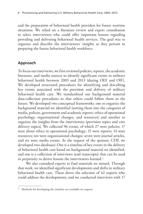and the preparation of behavioral health providers for future wartime situations. We relied on a literature review and expert consultation to select interviewees who could offer important lessons regarding providing and delivering behavioral health services. The goal was to organize and describe the interviewees' insights as they pertain to preparing the future behavioral health workforce.

## **Approach**

To focus our interviews, we first reviewed policies, reports, the academic literature, and media sources to identify significant events in military behavioral health between 2003 and 2013 (during OEF and OIF). We developed structured procedures for identifying and describing key events associated with the provision and delivery of military behavioral health care. We standardized our background material data-collection procedures so that others could follow them in the future. We developed two conceptual frameworks: one to organize the background material we identified (sorting them into the categories of media, policies, government and academic reports, ethics of operational psychology, organizational changes, and resources) and another to organize the insights from the interviewees (provision topics and care delivery topics). We collected 96 events, of which 27 were policies; 17 were about ethics in operational psychology; 15 were reports; 14 were resources; ten were organizational changes; seven were journal articles, and six were media events. At the request of the sponsor, CDP, we developed two databases: One is a timeline of key events in the delivery of behavioral health care based on background material we identified, and one is a collection of interviews (and transcripts) that can be used in perpetuity to derive lessons the interviewees learned.<sup>2</sup>

We also consulted experts to find materials we missed. Through that work, we identified significant developments and shifts in military behavioral health care. These drove the selection of 42 experts who could address the developments, and we conducted interviews with 17

<sup>2</sup> Methods for developing the timeline are available on request.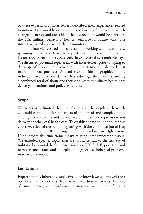of these experts. Our interviewees described their experiences related to military behavioral health care; detailed many of the areas in which change occurred; and areas identified lessons that would help prepare the U.S. military behavioral health workforce for future wars. The interviews lasted approximately 90 minutes.

The interviewees had long careers in or working with the military, spanning many roles. If we attempted to capture the totality of the lessons they learned, interviews could have occurred over multiple days. We discussed potential topic areas with interviewees prior to taping to derive specific topics they deemed most important and we deemed most relevant for our purposes. Appendix D provides biographies for the individuals we interviewed. Each has a distinguished career spanning a combined total of about one thousand years of military health care delivery, operations, and policy experience.

## **Scope**

We necessarily limited the time frame and the depth with which we could examine different aspects of this broad and complex topic. The significant events and policies were limited to the provision and delivery of behavioral health care. To establish some boundaries for this effort, we selected the period beginning with the 2003 invasion of Iraq and ending about 2013, during the force drawdown in Afghanistan. Undoubtedly, this time frame meant missing some important lessons. We excluded specific topics that are not as central to the delivery of military behavioral health care, such as TRICARE practices and reimbursement rates and the epidemiology of psychological problems in service members.

## **Limitations**

Expert input is inherently subjective. The interviewees conveyed their opinions and experiences, from which we drew inferences. Because of time, budget, and regulatory constraints, we did not rely on a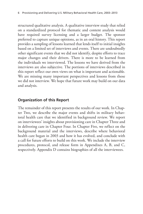structured qualitative analysis. A qualitative interview study that relied on a standardized protocol for thematic and content analysis would have required survey licensing and a larger budget. The sponsor preferred to capture unique opinions, as in an oral history. This report provides a sampling of lessons learned that lends itself to initial insights based on a limited set of interviews and events. There are undoubtedly other significant events that we did not identify, despite efforts to trace major changes and their drivers. There is more to be learned from the individuals we interviewed. The lessons we have derived from the interviews are also subjective. The portions of interviews described in this report reflect our own views on what is important and actionable. We are missing many important perspectives and lessons from those we did not interview. We hope that future work may build on our data and analysis.

#### **Organization of this Report**

The remainder of this report presents the results of our work. In Chapter Two, we describe the major events and shifts in military behavioral health care that we identified in background review. We report on interviewees' insights about provisioning care in Chapter Three and in delivering care in Chapter Four. In Chapter Five, we reflect on the background material and the interviews, describe where behavioral health care began in 2003 and how it has evolved, and conclude with a call for future efforts to build on this work. We include the interview procedures, protocol, and release form in Appendixes A, B, and C, respectively. Appendix D contains biographies of all the interviewees.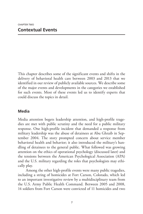This chapter describes some of the significant events and shifts in the delivery of behavioral health care between 2003 and 2013 that we identified in our review of publicly available sources. We describe some of the major events and developments in the categories we established for such events. Most of these events led us to identify experts that could discuss the topics in detail.

## **Media**

Media attention begets leadership attention, and high-profile tragedies are met with public scrutiny and the need for a public military response. One high-profile incident that demanded a response from military leadership was the abuse of detainees at Abu Ghraib in September 2004. The story prompted concern about service member behavioral health and behavior; it also introduced the military's handling of detainees to the general public. What followed was growing attention on the ethics of operational psychology (discussed later) and the tensions between the American Psychological Association (APA) and the U.S. military regarding the roles that psychologists may ethically play.

Among the other high-profile events were many public tragedies, including a string of homicides at Fort Carson, Colorado, which led to an important investigative review by a multidisciplinary team from the U.S. Army Public Health Command. Between 2005 and 2008, 14 soldiers from Fort Carson were convicted of 11 homicides and two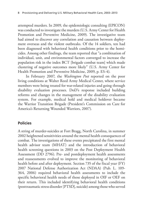attempted murders. In 2009, the epidemiologic consulting (EPICON) was conducted to investigate the murders (U.S. Army Center for Health Promotion and Preventive Medicine, 2009). The investigative team had aimed to discover any correlation and causation between deployment overseas and the violent outbreaks. Of the 14 soldiers, ten had been diagnosed with behavioral health conditions prior to the homicides. Among other findings, the team reported that "a combination of individual, unit, and environmental factors converged to increase the population risk in the index BCT [brigade combat team] which made clustering of negative outcomes more likely" (U.S. Army Center for Health Promotion and Preventive Medicine, 2009, p. ES-4).

In February 2007, the *Washington Post* reported on the poor living conditions at Walter Reed Army Medical Center, where service members were being treated for war-related injuries and going through disability evaluation processes. DoD's response included building reforms and changes in the management of the disability evaluation system. For example, medical hold and medical holdover became the Warrior Transition Brigade (President's Commission on Care for America's Returning Wounded Warriors, 2007).

## **Policies**

A string of murder-suicides at Fort Bragg, North Carolina, in summer 2002 heightened sensitivities around the mental health consequences of combat. The investigations of these events precipitated the first mental health advisor team (MHAT) and the introduction of behavioral health screening questions in 2003 on the Post Deployment Health Assessment (DD 2796). Pre- and postdeployment health assessments and reassessments evolved to improve the monitoring of behavioral health before and after deployment. Section 735 of the fiscal year (FY) 2007 National Defense Authorization Act (NDAA) (Pub. L. 109- 364, 2006) required behavioral health assessments to include the specific behavioral health needs of those deployed in OIF or OEF on their return. This included identifying behavioral health conditions (posttraumatic stress disorder [PTSD], suicide) among those who served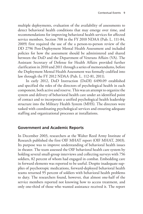multiple deployments, evaluation of the availability of assessments to detect behavioral health conditions that may emerge over time, and recommendations for improving behavioral health services for affected service members. Section 708 in the FY 2010 NDAA (Pub. L. 111-84, 2009) first required the use of the a person-to-person review of the DD 2796 Post-Deployment Mental Health Assessment and included policies for how the assessment should be administered and shared between the DoD and the Department of Veterans Affairs (VA). The Assistant Secretary of Defense for Health Affairs provided further clarification in 2010 and 2011 through a series of memorandums, before the Deployment Mental Health Assessment was formally codified into law through the FY 2012 NDAA (Pub. L. 112-81, 2011).

In early 2012, DoD Instruction (DoDI) 6490.09 established and specified the roles of the directors of psychological health in each component, both active and reserve. This was an attempt to organize the system and delivery of behavioral health care under an identified point of contact and to incorporate a unified psychological health leadership structure into the Military Health System (MHS). The directors were tasked with coordinating psychological services and ensuring adequate staffing and organizational processes at installations.

## **Government and Academic Reports**

In December 2003, researchers at the Walter Reed Army Institute of Research published the first OIF MHAT report (OIF MHAT, 2003). Its purpose was to improve understanding of behavioral health issues in theater. The team assessed the OIF behavioral health care system by holding several small-group interviews and collecting surveys with 756 soldiers, 82 percent of whom had engaged in combat. Embedding care in forward elements was reported to be useful. Despite inadequate supplies of psychotropic medications, forward-deployed behavioral health teams returned 95 percent of soldiers with behavioral health problems to duty. The researchers found, however, that almost one-half of the service members reported not knowing how to access treatment, and only one-third of those who wanted assistance received it. The report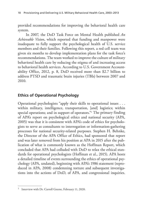provided recommendations for improving the behavioral health care system.

In 2007, the DoD Task Force on Mental Health published *An Achievable Vision*, which reported that funding and manpower were inadequate to fully support the psychological health of U.S. service members and their families. Following this report, a red cell team was given six months to develop implementation plans for the task force's recommendations. The team worked to improve the culture of military behavioral health care by reducing the stigma of and increasing access to behavioral health services. According to U.S. Government Accountability Office, 2012, p. 8, DoD received more than \$2.7 billion to address PTSD and traumatic brain injuries (TBIs) between 2007 and 2010.

## **Ethics of Operational Psychology**

Operational psychologists "apply their skills to operational issues . . . within military, intelligence, transportation, [and] logistics; within special operations; and in support of operators."<sup>1</sup> The primary finding of APA's report on psychological ethics and national security (APA, 2005) was that it is consistent with APA's code of ethics for psychologists to serve as consultants to interrogation or information-gathering processes for national security-related purposes. Stephen H. Behnke, the Director of the APA Office of Ethics, had sponsored that report and was later removed from his position at APA in 2015 after the publication of what is commonly known as the Hoffman Report, which concluded that APA had colluded with DoD to relax the ethical standards for operational psychologists (Hoffman et al., 2015). APA hosts a detailed timeline of events surrounding the ethics of operational psychology (APA, undated), beginning with APA's 1986 statement (reproduced in APA, 2008) condemning torture and subsequent investigations into the actions of DoD, of APA, and congressional inquiries.

<sup>&</sup>lt;sup>1</sup> Interview with Dr. Carroll Greene, February 11, 2020.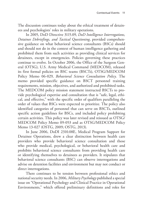The discussion continues today about the ethical treatment of detainees and psychologists' roles in military operations.

In 2005, DoD Directive 3115.09, *DoD Intelligence Interrogations, Detainee Debriefings, and Tactical Questioning*, provided comprehensive guidance on what behavioral science consultants (BSCs) should and should not do in the context of human intelligence gathering and prohibited them from such activities as providing clinical services for detainees, except in emergencies. Policies governing these practices continue to evolve. In October 2006, the Office of the Surgeon General (OTSG), U.S. Army Medical Command (MEDCOM), released its first formal policies on BSC teams (BSCTs), OTSG/MEDCOM Policy Memo 06-029, *Behavioral Science Consultation Policy*. The memo provided specific guidance on BSCT personnel training requirements, mission, objectives, and authorized and prohibited tasks. The MEDCOM policy mission statement instructed BSCTs to provide psychological expertise and consultation that is "safe, legal, ethical, and effective," with the specific order of qualifiers paralleling the order of values that BSCs were expected to prioritize. The policy also identified categories of personnel that can serve on BSCTs, outlined specific action guidelines for BSCs, and included policy prohibiting certain activities. This policy was later revised and reissued as OTSG/ MEDCOM Policy Memo 09-053 and as OTSG/MEDCOM Policy Memo 13-027 (OSTG, 2009; OSTG, 2013).

In June 2006, DoDI 2310.08E, Medical Program Support for Detainee Operations, drew a clear distinction between health care providers who provide behavioral science consultation and those who provide medical, psychological, or behavioral health care and prohibits behavioral science consultants from providing health care or identifying themselves to detainees as providers. It stipulates that behavioral science consultants (BSC) can observe interrogations and advise on detention facilities and environment but may not conduct or direct interrogations.

There continues to be tension between professional ethics and national security needs. In 2006, *Military Psychology* published a special issue on "Operational Psychology and Clinical Practice in Operational Environments," which offered preliminary definitions and roles for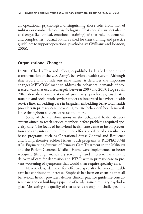an operational psychologist, distinguishing those roles from that of military or combat clinical psychologists. That special issue details the challenges (i.e. ethical, emotional, training) of that role, its demands and complexities. Journal authors called for clear training and practice guidelines to support operational psychologists (Williams and Johnson, 2006).

## **Organizational Changes**

In 2016, Charles Hoge and colleagues published a detailed report on the transformation of the U.S. Army's behavioral health system. Although that report falls outside our time frame, it describes the important changes MEDCOM made to address the behavioral demands of protracted wars that occurred largely between 2003 and 2013. Hoge et al., 2016, describes consolidation of psychiatry, psychology, psychiatric nursing, and social work services under an integrated behavioral health service line; embedding care in brigades; embedding behavioral health providers in primary care; providing routine behavioral health surveillance throughout soldiers' careers; and more.

Some of the transformations in the behavioral health delivery system aimed to reach service members before problems required specialty care. The focus of behavioral health care came to be on prevention and early intervention. Prevention efforts proliferated via resiliencebased programs, such as Operational Stress Control and Resilience and Comprehensive Soldier Fitness. Such programs as RESPECT-Mil s(Re-Engineering Systems of Primary Care Treatment in the Military) and the Patient Centered Medical Home were implemented to better recognize (through mandatory screening) and intervene early in the delivery of care for depression and PTSD within primary care to prevent worsening of symptoms that would then require specialty care.

Nevertheless, demand for effective specialty behavioral health care has continued to increase. Emphasis has been on ensuring that all behavioral health providers deliver clinical practice guideline-concurrent care and on building a pipeline of newly trained military psychologists. Measuring the quality of that care is an ongoing challenge. The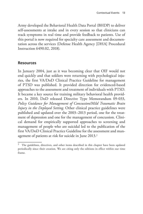Army developed the Behavioral Health Data Portal (BHDP) to deliver self-assessments at intake and in every session so that clinicians can track symptoms in real time and provide feedback to patients. Use of this portal is now required for specialty care assessment and documentation across the services (Defense Health Agency [DHA] Procedural Instruction 6490.02, 2018).

#### **Resources**

In January 2004, just as it was becoming clear that OIF would not end quickly and that soldiers were returning with psychological injuries, the first VA/DoD Clinical Practice Guideline for management of PTSD was published. It provided direction for evidenced-based approaches to the assessment and treatment of individuals with PTSD. It became a key source for training military behavioral health providers. In 2010, DoD released Directive Type Memorandum 09-033, *Policy Guidance for Management of Concussion/Mild Traumatic Brain Injury in the Deployed Setting*. Other clinical practice guidelines were published and updated over the 2003–2013 period, one for the treatment of depression and one for the management of concussion. Clinical demand for empirically supported approaches to screening and management of people who are suicidal led to the publication of the first VA/DoD Clinical Practice Guideline for the assessment and management of patients at risk for suicide in June 2013.<sup>2</sup>

 $2\degree$  The guidelines, directives, and other items described in this chapter have been updated periodically since their creation. We are citing only the editions in effect within our time frame.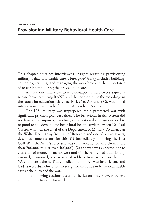This chapter describes interviewees' insights regarding provisioning military behavioral health care. Here, *provisioning* includes building, equipping, training, and managing the workforce and the importance of research for tailoring the provision of care.

All but one interview were videotaped. Interviewees signed a release form permitting RAND and the sponsor to use the recordings in the future for education-related activities (see Appendix C). Additional interview material can be found in Appendixes A through D.

The U.S. military was unprepared for a protracted war with significant psychological casualties. The behavioral health system did not have the manpower, structure, or operational strategies needed to respond to the demand for behavioral health services. When Dr. Carl Castro, who was the chief of the Department of Military Psychiatry at the Walter Reed Army Institute of Research and one of our reviewers, described some reasons for this: (1) Immediately following the first Gulf War, the Army's force size was dramatically reduced (from more than 700,000 to just over 400,000); (2) the war was expected not to cost a lot of money or manpower; and (3) the Army had traditionally assessed, diagnosed, and separated soldiers from service so that the VA could treat them. Thus, medical manpower was insufficient, and leaders were disinclined to invest significant funds in behavioral health care at the outset of the wars.

The following sections describe the lessons interviewees believe are important to carry forward.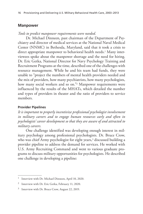#### **Manpower**

#### *Tools to predict manpower requirements were needed.*

Dr. Michael Dinneen, past chairman of the Department of Psychiatry and director of medical services at the National Naval Medical Center (NNMC) in Bethesda, Maryland, said that it took a crisis to direct appropriate manpower to behavioral health needs.<sup>1</sup> Many interviewees spoke about the manpower shortage and the need for hiring. Dr. Eric Getka, National Director for Navy Psychology Training and Recruitment Programs at the time, described one of the challenges with resource management. While he and his team had funds, they were unable to "project the numbers of mental health providers needed and the mix of providers, how many psychiatrists, how many psychologists, how many social workers and so on."<sup>2</sup> Manpower requirements were influenced by the results of the MHATs, which detailed the number and types of providers in theater and the ratio of providers to service members.

#### **Provider Pipelines**

*It is important to properly incentivize professional psychologist involvement in military careers and to engage human resources early and often in psychologists' career development so that they are aware of and attracted to military careers.*

One challenge identified was developing enough interest in military psychology among professional psychologists. Dr. Bruce Crow, who was chief Army psychologist for eight years,<sup>3</sup> discussed building a provider pipeline to address the demand for services. He worked with U.S. Army Recruiting Command and went to various graduate programs to discuss military opportunities for psychologists. He described one challenge in developing a pipeline:

<sup>&</sup>lt;sup>1</sup> Interview with Dr. Michael Dinneen, April 10, 2020.

<sup>&</sup>lt;sup>2</sup> Interview with Dr. Eric Getka, February 11, 2020.

 $3$  Interview with Dr. Bruce Crow, August 22, 2019.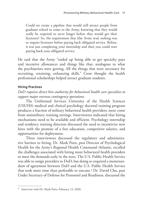Could we create a pipeline that would still attract people from graduate school to come to the Army, knowing that they would really be required to serve longer before they would get their licensure? So, the requirement that [the Army was] seeking was to require licensure before paying back obligated service. Before, it was just completing your internship and then you could start paying back your obligated service.

He said that the Army "ended up being able to get specialty pays and incentive allowances and things like that, analogous to what the psychiatrists were getting. All the things that were necessary for recruiting, retaining, enhancing skills." Crow thought the health professional scholarships helped attract graduate students.

#### **Hiring Practices**

*DoD requires direct hire authority for behavioral health care specialists to support major overseas contingency operations.* 

The Uniformed Services University of the Health Sciences (USUHS) medical and clinical psychology doctoral training program produces a fraction of military behavioral health providers; most come from nonmilitary training settings. Interviewees indicated that hiring mechanisms need to be available and efficient. Psychology internship and residency training directors discussed the need to incentivize new hires with the promise of a free education, competitive salaries, and opportunities for deployment.

Three interviewees discussed the regulatory and administrative barriers to hiring. Dr. Mark Paris, past Director of Psychological Health for the Army's Regional Health Command–Atlantic, recalled the challenges associated with hiring more behavioral health providers to meet the demands early in the wars. The U.S. Public Health Service was able to assign providers to DoD, but doing so required a memorandum of agreement between DoD and the U.S. Public Health Service that took more time than preferable to execute.<sup>4</sup> Dr. David Chu, past Under Secretary of Defense for Personnel and Readiness, discussed the

 $4$  Interview with Dr. Mark Paris, February 12, 2020.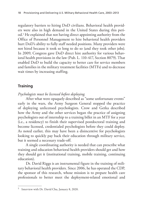regulatory barriers to hiring DoD civilians. Behavioral health providers were also in high demand in the United States during this period.5 He explained that not having direct appointing authority from the Office of Personnel Management to hire behavioral health providers hurt DoD's ability to fully staff needed positions. Many providers were not hired because it took so long to do so (and they took other jobs). In 2009, Congress gave DoD direct hire authority for various behavioral health provisions in the law (Pub. L. 110-417, Section 8079). That enabled DoD to build the capacity to better care for service members and families in the military treatment facilities (MTFs) and to decrease wait times by increasing staffing.

#### **Training**

#### *Psychologists must be licensed before deploying.*

After what were opaquely described as "some unfortunate events" early in the wars, the Army Surgeon General stopped the practice of deploying unlicensed psychologists. Crow and Getka described how the Army and the other services began the practice of assigning psychologists out of internship to a training billet in an MTF for a year (i.e., a residency) to finish their supervised postdoctoral training and become licensed, credentialed psychologists before they could deploy. As noted earlier, this may have been a disincentive for psychologists looking to quickly pay back their education through military service, but it seemed a necessary trade-off.

A single coordinating authority is needed that can prescribe what training and education behavioral health providers should get and how they should get it (institutional training, mobile training, continuing education).

Dr. David Riggs is an instrumental figure in the training of military behavioral health providers. Since 2006, he has operated the CDP, the sponsor of this research, whose mission is to prepare health care professionals to better meet the deployment-related emotional and

<sup>5</sup> Interview with Dr. David Chu, January 8, 2020.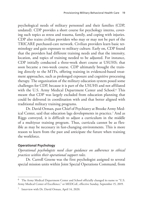psychological needs of military personnel and their families (CDP, undated). CDP provides a short course for psychology interns, covering such topics as stress and trauma, family, and coping with injuries. CDP also trains civilian providers who may or may not be part of the TRICARE purchased-care network. Civilian providers learn basic terminology and gain exposure to military culture. Early on, CDP found that the providers had different training needs and that the intensity, location, and topics of training needed to be adjusted. For instance, CDP initially conducted a three-week short course at USUHS; that soon became a two-week course. CDP ultimately brought the training directly to the MTFs, offering training in evidenced-based treatment approaches, such as prolonged exposure and cognitive processing therapy. The organization of the military education system posed some challenges for CDP, because it is part of the USUHS and not affiliated with the U.S. Army Medical Department Center and School.<sup>6</sup> This meant that CDP was largely excluded from education planning that could be delivered in coordination with and that better aligned with traditional military training programs.

Dr. David Orman, past Chief of Psychiatry at Brooke Army Medical Center, said that education lags developments in practice.7 And as Riggs conveyed, it is difficult to adjust a curriculum in the middle of a multiyear training program. Thus, curricula cannot be as flexible as may be necessary in fast-changing environments. This is more reason to learn from the past and anticipate the future when training the workforce.

#### **Operational Psychology**

*Operational psychologists need clear guidance on adherence to ethical practices within their operational support roles.*

Dr. Carroll Greene was the first psychologist assigned to several special mission units within Joint Special Operations Command, from

<sup>6</sup> The Army Medical Department Center and School officially changed its name to "U.S. Army Medical Center of Excellence," or MEDCoE, effective Sunday, September 15, 2019.

<sup>7</sup> Interview with Dr. David Orman, April 14, 2020.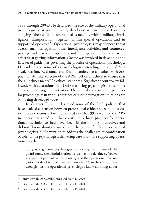1998 through 2004.8 He described the role of the military operational psychologist that predominantly developed within Special Forces as applying "their skills to operational issues . . . within military, intelligence, transportation, logistics, within special operations and in support of operators."<sup>9</sup> Operational psychologists may support threat assessment, interrogation, other intelligence activities, and counterespionage and may train operators and intelligence professionals to be effective at getting information. Greene was involved in developing the first set of guidelines governing the practice of operational psychology. He said he and some other psychologists attending the annual Survival, Evasion, Resistance and Escape conference consulted with Stephen H. Behnke, director of the APA's Office of Ethics, to ensure that the guidelines met APA's ethical standards. Significant controversy followed, with accusations that DoD was using psychologists to support enhanced interrogation activities. The ethical standards and practices for psychologists in various detainee care or interrogation situations are still being developed today.

In Chapter Two, we described some of the DoD policies that have evolved as tension between professional ethics and national security needs continues. Greene pointed out that 99 percent of the APA members that voted on what constitutes ethical practices for operational psychologists had never been in the military themselves and did not "know about the mindset or the ethics of military operational psychologists."10 He went on to address the challenges of coordination of roles of the psychologists delivering care and those supporting operational needs:

So, you've got one psychologist supporting health care of the guard force, the administration, as well as the detainees. You've got another psychologist supporting just the operational interrogational side of it. Then, who can do what? Can the clinical psychologist let the operational psychologist know anything about

<sup>8</sup> Interview with Dr. Carroll Greene, February 11, 2020.

<sup>&</sup>lt;sup>9</sup> Interview with Dr. Carroll Greene, February 11, 2020.

<sup>&</sup>lt;sup>10</sup> Interview with Dr. Carroll Greene, February 11, 2020.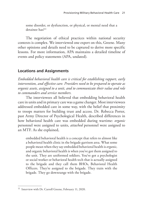some disorder, or dysfunction, or physical, or mental need that a detainee has?11

The negotiation of ethical practices within national security contexts is complex. We interviewed one expert on this, Greene. Many other opinions and details need to be captured to derive more specific lessons. For more information, APA maintains a detailed timeline of events and policy statements (APA, undated).

#### **Locations and Assignments**

*Embedded behavioral health care is critical for establishing rapport, early intervention, and effective care. Providers need to be prepared to operate as organic assets, assigned to a unit, and to communicate their value and role to commanders and service members.*

The interviewees all believed that embedding behavioral health care in units and in primary care was a game changer. Most interviewees addressed embedded care in some way, with the belief that proximity to troops matters for building trust and access. Dr. Rebecca Porter, past Army Director of Psychological Health, described differences in how behavioral health care was embedded during wartime: *organic* personnel were assigned to units, *attached* personnel were assigned to an MTF. As she explained,

embedded behavioral health is a concept that refers to almost like a behavioral health clinic in the brigade garrison area. What some people mean when they say embedded behavioral health is *organic*, and organic behavioral health is when you've got them assigned to the unit. They are uniformed soldiers. You've got a psychologist or social worker or behavioral health tech that is actually assigned to the brigade and they call them BHOs, Behavioral Health Officers. They're assigned to the brigade. They train with the brigade. They go downrange with the brigade.

<sup>&</sup>lt;sup>11</sup> Interview with Dr. Carroll Greene, February 11, 2020.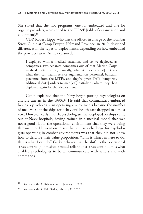She stated that the two programs, one for embedded and one for organic providers, were added to the TO&E [table of organization and equipment].<sup>12</sup>

CDR Robert Lippy, who was the officer in charge of the Combat Stress Clinic at Camp Dwyer, Helmand Province, in 2010, described differences in the types of deployments, depending on how embedded the providers were. As he explained,

I deployed with a medical battalion, and so we deployed as companies, two separate companies out of that Marine Corps medical battalion. So, basically, what it does is [that] it takes what they call health service augmentation personnel, basically personnel from the MTFs, and they're given TAD [temporary additional duty] orders to med[ical] battalions where they then deployed again for that deployment.

Getka explained that the Navy began putting psychologists on aircraft carriers in the 1990s.13 He said that commanders embraced having a psychologist in operating environments because the number of medevacs off the ships for behavioral health care dropped to almost zero. However, early in OIF, psychologists that deployed on ships came out of Navy hospitals, having trained in a medical model that was not a good fit for the operational environment that they were being thrown into. He went on to say that an early challenge for psychologists operating in combat environments was that they did not know how to describe their value proposition, "This is what I'm here to do, this is what I can do." Getka believes that the shift to the operational stress control (nonmedical) model reliant on a stress continuum is what enabled psychologists to better communicate with sailors and with commands.

<sup>12</sup> Interview with Dr. Rebecca Porter, January 31, 2020.

<sup>&</sup>lt;sup>13</sup> Interview with Dr. Eric Getka, February 11, 2020.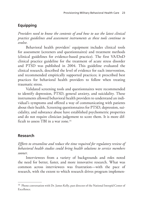# **Equipping**

*Providers need to know the contents of and how to use the latest clinical practice guidelines and assessment instruments as these tools continue to evolve.*

Behavioral health providers' equipment includes clinical tools for assessment (screeners and questionnaires) and treatment methods (clinical guidelines for evidence-based practice). The first VA/DoD clinical practice guideline for the treatment of acute stress disorder and PTSD was published in 2004. This guideline evaluated the clinical research, described the level of evidence for each intervention, and recommended empirically supported practices; it prescribed best practices for behavioral health providers to follow when treating traumatic stress.

Validated screening tools and questionnaires were recommended to identify depression, PTSD, general anxiety, and suicidality. These instruments allowed behavioral health providers to understand an individual's symptoms and offered a way of communicating with patients about their health. Screening questionnaires for PTSD, depression, suicidality, and substance abuse have established psychometric properties and do not require clinician judgement to score them. It is more difficult to assess TBI in a war zone.<sup>14</sup>

# **Research**

*Efforts to streamline and reduce the time required for regulatory review of behavioral health studies could bring health solutions to service members sooner.* 

Interviewees from a variety of backgrounds and roles noted the need for better, faster, and more innovative research. What was common across interviewees was frustration—with the pace of research, with the extent to which research drives program implemen-

<sup>&</sup>lt;sup>14</sup> Phone conversation with Dr. James Kelly, past director of the National Intrepid Center of Excellence.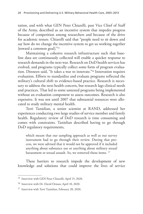tation, and with what GEN Peter Chiarelli, past Vice Chief of Staff of the Army, described as an incentive system that impedes progress because of competition among researchers and because of the drive for academic tenure. Chiarelli said that "people need to sit down and say how do we change the incentive system to get us working together [toward a common goal]."15

Maintaining a cohesive research infrastructure such that baseline data are continuously collected will enable a quicker response to research demands in the next war. Research on DoD health services has evolved, and programs typically collect some form of program evaluation. Dinneen said, "It takes a war to innovate."16 Innovation requires evaluation. Efforts to standardize and evaluate programs reflected the military's cultural shift to evidence-based practice. Research is necessary to address the next health concern, but research lags clinical needs and practices. That led to some untested programs being implemented without an evaluation component to assess outcomes. Research is also expensive. It was not until 2007 that substantial resources were allocated to study military mental health.

Terri Tanielian, a senior scientist at RAND, addressed her experiences conducting two large studies of service member and family health. Regulatory review of DoD research is time consuming and comes with constraints. Tanielian described having to go through DoD regulatory requirements,

which meant that our sampling approach as well as our survey instrument had to go through their review. During that process, we were advised that it would not be approved if it included anything about substance use or anything about military sexual harassment or sexual assault. So, we removed those items. <sup>17</sup>

These barriers to research impede the development of new knowledge and solutions that could improve the lives of service

<sup>15</sup> Interview with GEN Peter Chiarelli, April 15, 2020.

<sup>16</sup> Interview with Dr. David Orman, April 10, 2020.

<sup>17</sup> Interview with Terri Tanielian, February 20, 2020.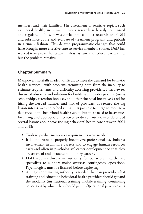members and their families. The assessment of sensitive topics, such as mental health, in human subjects research is heavily scrutinized and regulated. Thus, it was difficult to conduct research on PTSD and substance abuse and evaluate of treatment programs and publish in a timely fashion. This delayed programmatic changes that could have brought more effective care to service members sooner. DoD has worked to improve the research infrastructure and reduce review time, but the problem remains.

# **Chapter Summary**

Manpower shortfalls made it difficult to meet the demand for behavior health services—with problems stemming both from the inability to estimate requirements and difficulty accessing providers. Interviewees discussed obstacles and solutions for building a provider pipeline (using scholarships, retention bonuses, and other financial incentives) and for hiring the needed number and mix of providers. It seemed the big lesson interviewees described is that it is possible to surge to meet new demands on the behavioral health system, but there need to be avenues for hiring and appropriate incentives to do so. Interviewees described several lessons about provisioning behavioral health care between 2003 and 2013:

- Tools to predict manpower requirements were needed.
- It is important to properly incentivize professional psychologist involvement in military careers and to engage human resources early and often in psychologists' career development so that they are aware of and attracted to military careers.
- DoD requires direct-hire authority for behavioral health care specialists to support major overseas contingency operations. Psychologists must be licensed before deploying.
- A single coordinating authority is needed that can prescribe what training and education behavioral health providers should get and the modality (institutional training, mobile training, continuing education) by which they should get it. Operational psychologists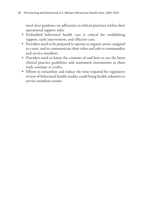need clear guidance on adherence to ethical practices within their operational support roles.

- Embedded behavioral health care is critical for establishing rapport, early intervention, and effective care.
- Providers need to be prepared to operate as organic assets, assigned to a unit, and to communicate their value and role to commanders and service members.
- Providers need to know the contents of and how to use the latest clinical practice guidelines and assessment instruments as these tools continue to evolve.
- Efforts to streamline and reduce the time required for regulatory review of behavioral health studies could bring health solutions to service members sooner.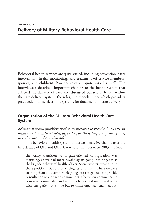Behavioral health services are quite varied, including prevention, early intervention, health monitoring, and treatment (of service members, spouses, and children). Provider roles are quite varied as well. The interviewees described important changes to the health system that affected the delivery of care and discussed behavioral health within the care delivery system, the roles, the models under which providers practiced, and the electronic systems for documenting care delivery.

# **Organization of the Military Behavioral Health Care System**

*Behavioral health providers need to be prepared to practice in MTFs, in theater, and in different roles, depending on the setting (i.e., primary care, specialty care, and consultation).* 

The behavioral health system underwent massive change over the first decade of OIF and OEF. Crow said that, between 2003 and 2005,

the Army transition to brigade-oriented configuration was maturing, so we had more psychologists going into brigades as the brigade behavioral health officer. Social workers were also in those positions. But our psychologists, and this is where we were training them to be comfortable going into a brigade able to provide consultation to a brigade commander, a battalion commander, a company commander, and not only be focused on clinical work with one patient at a time but to think organizationally about,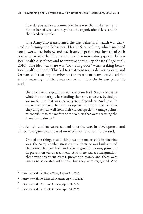how do you advise a commander in a way that makes sense to him or her, of what can they do at the organizational level and in their leadership role.<sup>1</sup>

The Army also transformed the way behavioral health was delivered by forming the Behavioral Health Service Line, which included social work, psychology, and psychiatry departments, instead of each operating separately. The intent was to remove stovepipes in behavioral health disciplines and to improve continuity of care (Hoge et al., 2016). The idea was there was "no wrong door" when seeking behavioral health support.<sup>2</sup> This led to treatment teams delivering care, and Orman said that any member of the treatment team could lead the team,3 meaning that there was no natural hierarchy by discipline. He said,

the psychiatrist typically is not the team lead. So any issues of who's the authority, who's leading the team, et cetera, by design, we made sure that was specialty non-dependent. And that, in essence we wanted the team to operate as a team and do what they uniquely do well from their various specialty vantage points, to contribute to the welfare of the soldiers that were accessing the team for treatment  $4$ 

The Army's combat stress control doctrine was in development and aimed to organize care based on need, not function. Crow said,

One of the things that I think was the major shift in doctrine was, the Army combat stress control doctrine was built around the notion that you had kind of segregated functions, primarily in prevention versus treatment. And there was a configuration, there were treatment teams, prevention teams, and there were functions associated with those, but they were segregated. And

<sup>&</sup>lt;sup>1</sup> Interview with Dr. Bruce Crow, August 22, 2019.

<sup>2</sup> Interview with Dr. Michael Dinneen, April 10, 2020.

<sup>3</sup> Interview with Dr. David Orman, April 10, 2020.

<sup>&</sup>lt;sup>4</sup> Interview with Dr. David Orman, April 10, 2020.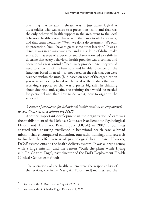one thing that we saw in theater was, it just wasn't logical at all, a soldier who was close to a prevention team, and that was the only behavioral health support in the area, went to the local behavioral health people that were in their area to ask for services, and that team would say, "Well, we don't do treatment. We only do prevention. You'll have to go to some other location." It was a drive, it was in an unsecure area, and it just kind of didn't make sense. So that type of experience and observation led to a shift in doctrine that every behavioral health provider was a combat and operational stress control officer. Every provider. And they would need to know all of the functions and be able to deliver all the functions based on need—so, not based on the role that you were assigned within the unit, [but] based on need of the organization you were supporting based on the need of the soldiers that were receiving support. So that was a pretty big shift in thinking about doctrine and, again, the training that would be needed for personnel and then how to deliver it, how to organize the services.<sup>5</sup>

## *A center of excellence for behavioral health needs to be empowered to coordinate services within the MHS.*

Another important development in the organization of care was the establishment of the Defense Centers of Excellence for Psychological Health and Traumatic Brain Injury (DCoE) in 2007. DCoE was charged with ensuring excellence in behavioral health care, a broad mission that encompassed education, outreach, training, and research to further the effectiveness of psychological health care. However, DCoE existed outside the health delivery system. It was a large agency, with a large mission, and the centers "built the plane while flying it."6 Dr. Charles Engel, past director of the DoD Deployment Health Clinical Center, explained:

The operations of the health system were the responsibility of the services, the Army, Navy, Air Force, [and] marines, and the

<sup>5</sup> Interview with Dr. Bruce Crow, August 22, 2019.

<sup>6</sup> Interview with Dr. Charles Engel, February 17, 2020.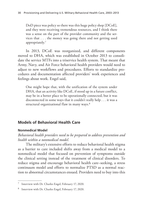DoD piece was policy so there was this huge policy shop [DCoE], and they were receiving tremendous resources, and I think there was a sense on the part of the provider community and the services that . . . the money was going there and not getting used appropriately.7

In 2013, DCoE was reorganized, and different components moved to DHA, which was established in October 2013 to consolidate the service MTFs into a triservice health system. That meant that Army, Navy, and Air Force behavioral health providers would need to adjust to new workflows and procedures. Efforts to standardize procedures and documentation affected providers' work experiences and feelings about work. Engel said,

One might hope that, with the unification of the system under DHA, that an activity like DCoE, if stood up in a future conflict, may be in a better place to be operationally connected, but it was disconnected in some ways that it couldn't really help . . . it was a structural organizational flaw in many ways.<sup>8</sup>

# **Models of Behavioral Health Care**

## **Nonmedical Model**

*Behavioral health providers need to be prepared to address prevention and health within a nonmedical model.* 

The military's extensive efforts to reduce behavioral health stigma as a barrier to care included shifts away from a medical model to a nonmedical model that focused on prevention of symptoms outside the clinical setting instead of the treatment of clinical disorders. To reduce stigma and encourage behavioral health care–seeking, a stress continuum model and efforts to normalize PTSD as a normal reaction to abnormal circumstances ensued. Providers need to buy into this

<sup>7</sup> Interview with Dr. Charles Engel, February 17, 2020.

<sup>8</sup> Interview with Dr. Charles Engel, February 17, 2020.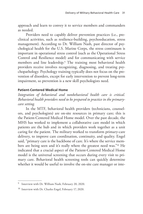approach and learn to convey it to service members and commanders as needed.

Providers need to capably deliver prevention practices (i.e., preclinical activities, such as resilience-building, psychoeducation, stress management). According to Dr. William Nash, past director of psychological health for the U.S. Marine Corps, the stress continuum is important in operational stress control (such as the Operational Stress Control and Resilience model) and for communicating with service members and line leadership.9 The training most behavioral health providers receive involves recognizing, diagnosing, and treating psychopathology. Psychology training typically does not focus on the prevention of disorders, except for early intervention to prevent long-term impairment, so prevention is a new skill psychologists need.

#### **Patient-Centered Medical Home**

*Integration of behavioral and nonbehavioral health care is critical. Behavioral health providers need to be prepared to practice in the primarycare setting.*

In the MTF, behavioral health providers (technicians, counselors, and psychologists) are on-site resources in primary care; this is the Patient-Centered Medical Home model. Over the past decade, the MHS has worked to implement a collaborative care model in which patients are the hub and in which providers work together as a unit caring for the patient. The military worked to transform primary-care delivery, to improve care coordination, continuity, and quality. Engel said, "primary care is the backbone of care. It's where the service members are being seen and it's really where the greatest need was."10 He indicated that a crucial aspect of the Patient-Centered Medical Home model is the universal screening that occurs during every visit to primary care. Behavioral health screening tools can quickly determine whether it would be useful to involve the on-site care manager or inte-

<sup>9</sup> Interview with Dr. William Nash, February 20, 2020.

<sup>10</sup> Interview with Dr. Charles Engel, February 17, 2020.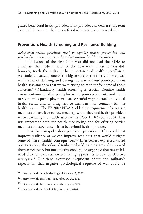grated behavioral health provider. That provider can deliver short-term care and determine whether a referral to specialty care is needed.<sup>11</sup>

#### **Prevention: Health Screening and Resilience-Building**

*Behavioral health providers need to capably deliver prevention and psychoeducation activities and conduct routine health surveillance.* 

The lessons of the first Gulf War did not lead the MHS to anticipate the medical needs of the new wars. These lessons did, however, teach the military the importance of health surveillance. As Tanielian stated, "one of the big lessons of the first Gulf war, was really kind of defining and paving the way for our postdeployment health assessment so that we were trying to monitor for some of those concerns."12 Mandatory health screening is crucial. Routine health assessments—annually, predeployment, postdeployment, and three to six months postdeployment—are essential ways to track individual health status and to bring service members into contact with the health system. The FY 2007 NDAA added the requirement for service members to have face-to-face meetings with behavioral health providers when reviewing the health assessments (Pub. L. 109-36, 2006). This was important both for health monitoring and for offering service members an experience with a behavioral health provider.

Tanielian also spoke about people's expectations: "If we could just improve resilience or we can improve readiness, that would mitigate some of these [health] consequences."<sup>13</sup> Interviewees expressed varied opinions about the value of resilience-building programs. Chu viewed them as necessary but not effective enough; he suggested that research is needed to compare resilience-building approaches to develop effective strategies.14 Clinicians expressed skepticism about the military's expectation that negative psychological sequelae of war could be

<sup>11</sup> Interview with Dr. Charles Engel, February 17, 2020.

<sup>12</sup> Interview with Terri Tanielian, February 20, 2020.

<sup>13</sup> Interview with Terri Tanielian, February 20, 2020.

<sup>14</sup> Interview with Dr. David Chu, January 8, 2020.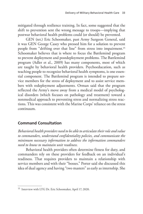mitigated through resilience training. In fact, some suggested that the shift to prevention sent the wrong message to troops—implying that postwar behavioral health problems could (or should) be prevented.

GEN (ret.) Eric Schoomaker, past Army Surgeon General, said it was GEN George Casey who pressed him for a solution to prevent people from "drifting over that line" from stress into impairment.<sup>15</sup> Schoomaker believes that is where to focus the Battlemind program to prevent deployment and postdeployment problems. The Battlemind program (Adler et al., 2009) has many components, most of which are taught by behavioral health providers. Psychoeducation, such as teaching people to recognize behavioral health symptoms, is one essential component. The Battlemind program is intended to prepare service members for the stress of deployment and to assist service members with redeployment adjustments. Orman said that the program reflected the Army's move away from a medical model of psychological disorders (which focuses on pathology and treatment) toward a nonmedical approach to preventing stress and normalizing stress reactions. This was consistent with the Marine Corps' reliance on the stress continuum.

# **Command Consultation**

*Behavioral health providers need to be able to articulate their role and value to commanders, understand confidentiality policies, and communicate the minimum necessary information to address the information commanders need to know to maintain unit readiness.* 

Behavioral health providers often determine fitness for duty, and commanders rely on these providers for feedback on an individual's readiness. That requires providers to maintain a relationship with service members and with their "bosses." Porter said she discussed this idea of dual agency and having "two masters" as early as internship. She

<sup>15</sup> Interview with LTG Dr. Eric Schoomaker, April 17, 2020.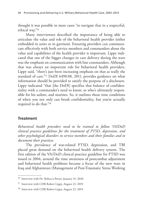thought it was possible in most cases "to navigate that in a respectful, ethical way."16

Many interviewees described the importance of being able to articulate the value and role of the behavioral health provider (either embedded in units or in garrison). Ensuring providers can communicate effectively with both service members and commanders about the value and capabilities of the health provider is important. Lippy indicated that one of the bigger changes in care delivery during the wars was the emphasis on communication with line commanders. Although that was always an important role for behavioral health providers, Lippy said, "there's just been increasing emphasis on that as really the standard of care."17 DoDI 6490.08, 2011, provides guidance on what information should be provided to satisfy the purpose of a disclosure. Lippy indicated "that [the DoDI] specifies that balance of confidentiality with a commander's need to know, so who's ultimately responsible for his sailors, and marines. So, it outlines those nine conditions of when you not only can break confidentiality, but you're actually required to do that."18

## **Treatment**

*Behavioral health providers need to be trained to follow VA/DoD clinical practice guidelines for the treatment of PTSD, depression, and other psychological disorders in service members and their families and to document their practices.* 

The prevalence of war-related PTSD, depression, and TBI placed great demand on the behavioral health delivery system. The first edition of the VA/DoD clinical practice guideline for PTSD was issued in 2004, around the time awareness of postcombat adjustment and behavioral health problems became a focus of the new wars in Iraq and Afghanistan (Management of Post-Traumatic Stress Working

<sup>16</sup> Interview with Dr. Rebecca Porter, January 31, 2020.

<sup>17</sup> Interview with CDR Robert Lippy, August 22, 2019.

<sup>&</sup>lt;sup>18</sup> Interview with CDR Robert Lippy, August 22, 2019.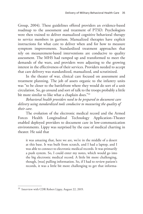Group, 2004). These guidelines offered providers an evidence-based roadmap to the assessment and treatment of PTSD. Psychologists were then trained to deliver manualized cognitive behavioral therapy to service members in garrison. Manualized therapies have explicit instructions for what care to deliver when and for how to measure symptom improvements. Standardized treatment approaches that rely on measurement-based interventions are conducive to quality assessment. The MHS had ramped up and transformed to meet the demands of the wars, and providers were adjusting to the growing interest in the effectiveness of their services. Providers needed to accept that care delivery was standardized, manualized, and scrutinized.

In the theater of war, clinical care focused on assessment and treatment planning. The job of assets organic to the infantry units was "to be closer to the battlefront where they would do sort of a unit circulation. So, go around and sort of talk to the troops probably a little bit more similar to like what a chaplain does."19

*Behavioral health providers need to be prepared to document care delivery using standardized tools conducive to measuring the quality of their care.* 

The evolution of the electronic medical record and the Armed Forces Health Longitudinal Technology Application–Theater enabled deployed providers to document care in low-communication environments. Lippy was surprised by the ease of medical charting in theater. He said that

it was amazing that, here we are, we're in the middle of a desert at this base. It was built from scratch, and I had a laptop, and I was able to connect to electronic medical records. It was primarily a push system. So, I could enter my notes, which would go into the big electronic medical record. A little bit more challenging, though, [was] pulling information. So, if I had to review patient's records, it was a little bit more challenging to get that informa-

<sup>19</sup> Interview with CDR Robert Lippy, August 22, 2019.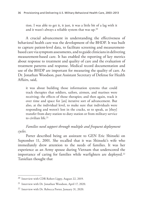tion. I was able to get it, it just, it was a little bit of a lag with it and it wasn't always a reliable system that was up.20

A crucial advancement in understanding the effectiveness of behavioral health care was the development of the BHDP. It was built to capture patient-level data, to facilitate screening and measurementbased care via symptom assessments, and to guide clinicians in delivering measurement-based care. It has enabled the reporting of key metrics about response to treatment and quality of care and the evaluation of treatment patterns and response. Medical record documentation and use of the BHDP are important for measuring the quality of care. As Dr. Jonathan Woodson, past Assistant Secretary of Defense for Health Affairs, said,

it was about building those information systems that could track therapies that soldiers, sailors, airmen, and marines were receiving; the effects of those therapies; and then again, track it over time and space for [an] iterative sort of advancement. But also, at the individual level, to make sure that individuals were responding and weren't lost in the cracks, so to speak, as [they] transfer from duty station to duty station or from military service to civilian life<sup>21</sup>

*Families need support through multiple and frequent deployment cycles.*

Porter described being an assistant to GEN Eric Shinseki on September 11, 2001. She recalled that it was Shinseki's wife who immediately drew attention to the needs of families. It was her experience as an Army spouse during Vietnam that underscored the importance of caring for families while warfighters are deployed.<sup>22</sup> Tanielian thought that

<sup>20</sup> Interview with CDR Robert Lippy, August 22, 2019.

<sup>21</sup> Interview with Dr. Jonathan Woodson, April 17, 2020.

<sup>22</sup> Interview with Dr. Rebecca Porter, January 31, 2020.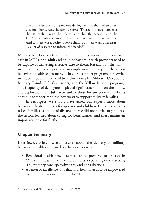one of the lessons from previous deployments is that, when a service member serves, the family serves. There's the social contract that is implicit with the relationship that the services and the DoD have with the troops, that they take care of their families. And so there was a desire to serve them, but there wasn't necessarily a lot of research to inform the needs.<sup>23</sup>

Military beneficiaries (spouses and children of service members) seek care in MTFs, and adult and child behavioral health providers need to be capable of delivering effective care to them. Research on the family members' need for support and an emphasis in military health care on behavioral health led to many behavioral support programs for service members' spouses and children (for example, Military OneSource, Military Family Life Counselors, and the Yellow Ribbon program). The frequency of deployments placed significant strains on the family, and deployment schedules were unlike those for any prior war. Efforts continue to understand the best ways to support military families.

In retrospect, we should have asked our experts more about behavioral health policies for spouses and children. Only two experts raised families as a topic of discussion. We did not sufficiently address the lessons learned about caring for beneficiaries, and that remains an important topic for further study.

# **Chapter Summary**

Interviewees offered several lessons about the delivery of military behavioral health care based on their experiences:

- Behavioral health providers need to be prepared to practice in MTFs, in theater, and in different roles, depending on the setting (i.e., primary care, specialty care, and consultation).
- A center of excellence for behavioral health needs to be empowered to coordinate services within the MHS.

<sup>23</sup> Interview with Terri Tanielian, February 20, 2020.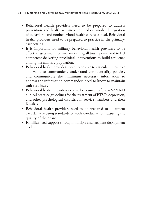- Behavioral health providers need to be prepared to address prevention and health within a nonmedical model. Integration of behavioral and nonbehavioral health care is critical. Behavioral health providers need to be prepared to practice in the primarycare setting.
- It is important for military behavioral health providers to be effective assessment technicians during all touch points and to feel competent delivering preclinical interventions to build resilience among the military population.
- Behavioral health providers need to be able to articulate their role and value to commanders, understand confidentiality policies, and communicate the minimum necessary information to address the information commanders need to know to maintain unit readiness.
- Behavioral health providers need to be trained to follow VA/DoD clinical practice guidelines for the treatment of PTSD, depression, and other psychological disorders in service members and their families.
- Behavioral health providers need to be prepared to document care delivery using standardized tools conducive to measuring the quality of their care.
- Families need support through multiple and frequent deployment cycles.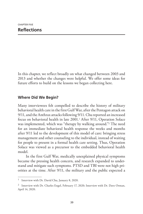In this chapter, we reflect broadly on what changed between 2003 and 2013 and whether the changes were helpful. We offer some ideas for future efforts to build on the lessons we began collecting here.

## **Where Did We Begin?**

Many interviewees felt compelled to describe the history of military behavioral health care in the first Gulf War, after the Pentagon attack on 9/11, and the Anthrax attacks following 9/11. Chu reported an increased focus on behavioral health in late 2001.1 After 9/11, Operation Solace was implemented, which was "therapy by walking around."2 The need for an immediate behavioral health response the weeks and months after 9/11 led to the development of this model of care: bringing stress management and other counseling to the individual, instead of waiting for people to present in a formal health care setting. Thus, Operation Solace was viewed as a precursor to the embedded behavioral health model.

In the first Gulf War, medically unexplained physical symptoms became the pressing health concern, and research expanded to understand and mitigate such symptoms. PTSD and TBI were not high priorities at the time. After 9/11, the military and the public expected a

<sup>&</sup>lt;sup>1</sup> Interview with Dr. David Chu, January 8, 2020.

<sup>&</sup>lt;sup>2</sup> Interview with Dr. Charles Engel, February 17, 2020; Interview with Dr. Dave Orman, April 14, 2020.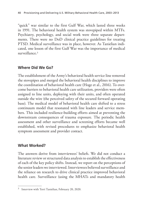"quick" war similar to the first Gulf War, which lasted three weeks in 1991. The behavioral health system was stovepiped within MTFs. Psychiatry, psychology, and social work were three separate departments. There were no DoD clinical practice guidelines for treating PTSD. Medical surveillance was in place, however. As Tanielian indicated, one lesson of the first Gulf War was the importance of medical surveillance.3

# **Where Did We Go?**

The establishment of the Army's behavioral health service line removed the stovepipes and merged the behavioral health disciplines to improve the coordination of behavioral health care (Hoge et al., 2016). To overcome barriers to behavioral health care utilization, providers were often assigned to line units, deploying with their units, and often operated outside the wire (the perceived safety of the secured forward operating base). The medical model of behavioral health care shifted to a stress continuum model that resonated with line leaders and service members. This included resilience-building efforts aimed at preventing the downstream consequences of trauma exposure. The periodic health assessment and other surveillance and screening efforts became well established, with revised procedures to emphasize behavioral health symptom assessment and provider contact.

## **What Worked?**

The answers derive from interviewees' beliefs. We did not conduct a literature review or structured data analysis to establish the effectiveness of each of the key policy shifts. Instead, we report on the perceptions of the senior leaders we interviewed. Interviewees believed surveillance and the reliance on research to drive clinical practice improved behavioral health care. Surveillance (using the MHATs and mandatory health

<sup>3</sup> Interview with Terri Tanielian, February 20, 2020.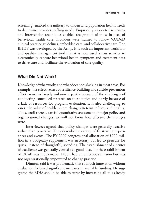screening) enabled the military to understand population health needs to determine provider staffing needs. Empirically supported screening and intervention techniques enabled recognition of those in need of behavioral health care. Providers were trained to follow VA/DoD clinical practice guidelines, embedded care, and collaborative care. The BHDP was developed by the Army. It is such an important workflow and quality management tool that it is now used across services to electronically capture behavioral health symptom and treatment data to drive care and facilitate the evaluation of care quality.

# **What Did Not Work?**

Knowledge of what works and what does not is lacking in most areas. For example, the effectiveness of resilience-building and suicide-prevention efforts remains largely unknown, partly because of the challenges of conducting controlled research on these topics and partly because of a lack of resources for program evaluation. It is also challenging to assess the value of health system changes in terms of cost and quality. Thus, until there is careful quantitative assessment of major policy and organizational changes, we will not know how effective the changes were.

Interviewees agreed that policy changes were generally reactive rather than proactive. They described a variety of frustrating experiences and events. The FY 2007 congressional allocation of \$900 million in a budgetary supplement was necessary but led to pressure for quick, instead of thoughtful, spending. The establishment of a center of excellence was generally viewed as a good idea, but the establishment of DCoE was problematic. DCoE had an ambitious mission but was not organizationally empowered to change practice.

Dinneen said it was problematic that so much innovation without evaluation followed significant increases in available funding. He suggested the MHS should be able to surge by increasing all it is already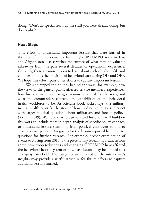doing: "Don't do special stuff; do the stuff you were already doing, but do it right."4

## **Next Steps**

This effort to understand important lessons that were learned in the face of intense demands from high-OPTEMPO wars in Iraq and Afghanistan just scratches the surface of what may be valuable takeaways from the past several decades of operational experience. Certainly, there are more lessons to learn about such a high-profile and complex topic as the provision of behavioral care during OIF and OEF. We hope this effort spurs other efforts to capture important lessons.

We sidestepped the politics behind the wars; for example, how the views of the general public affected service members' experiences, how line commanders managed resources needed for the wars, and what the commanders expected the capabilities of the behavioral health workforce to be. As Kieran's book jacket says, the military mental health crisis "is the story of how medical conditions intersect with larger political questions about militarism and foreign policy" (Kieran, 2019). We hope that researchers and historians will build on this work to include more in-depth analysis of specific policy changes, to understand lessons stemming from political controversies, and to cover a longer period. Our goal is for the lessons reported here to drive questions for further research. For example, deeper examination of events occurring from 2013 to the present may reveal important lessons about how troop reductions and changing OPTEMPO have affected the behavioral health system or how past lessons may be applied to a changing battlefield. The categories we imposed on the interviewee's insights may provide a useful structure for future efforts to capture additional lessons learned.

 $4$  Interview with Dr. Michael Dinneen, April 10, 2020.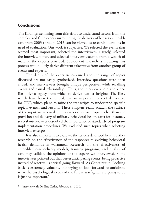# **Conclusions**

The findings stemming from this effort to understand lessons from the complex and fluid events surrounding the delivery of behavioral health care from 2003 through 2013 can be viewed as research questions in need of evaluation. Our work is subjective. We selected the events that seemed most important, selected the interviewees, (largely) selected the interview topics, and selected interview excerpts from a wealth of material the experts provided. Subsequent researchers repeating this process would likely derive different takeaways from another group of events and experts.

The depth of the expertise captured and the range of topics discussed are not easily synthesized. Interview questions were open ended, and interviewees brought unique perspectives while recalling events and causal relationships. Thus, the interview audio and video files offer a legacy from which to derive further insights. The files, which have been transcribed, are an important project deliverable for CDP, which plans to mine the transcripts to understand specific topics, events, and lessons. These chapters really scratch the surface of the input we received. Interviewees discussed topics other than the provision and delivery of military behavioral health care; for instance, several interviewees described the importance of standardized program implementation procedures. We excluded such topics when selecting interview excerpts.

It is also important to evaluate the lessons described here. Further research on the effectiveness of the responses to evolving behavioral health demands is warranted. Research on the effectiveness of embedded care delivery models, training programs, and quality of care may validate the opinions of the experts we interviewed. Some interviewees pointed out that better anticipating events, being proactive instead of reactive, is critical going forward. As Getka put it, "looking back is extremely valuable, but trying to look forward to anticipate what the psychological needs of the future warfighter are going to be is just as important."5

<sup>5</sup> Interview with Dr. Eric Getka, February 11, 2020.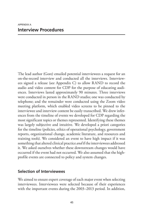# APPENDIX A **Interview Procedures**

The lead author (Gore) emailed potential interviewees a request for an on-the-record interview and conducted all the interviews. Interviewees signed a release (see Appendix C) to allow RAND to record the audio and video content for CDP for the purpose of educating audiences. Interviews lasted approximately 90 minutes. Three interviews were conducted in person in the RAND studio; one was conducted by telephone; and the remainder were conducted using the Zoom video meeting platform, which enabled video screens to be pinned to the interviewee and interview content be easily transcribed. We drew inferences from the timeline of events we developed for CDP regarding the most significant topics or themes represented. Identifying these themes was largely subjective and intuitive. We developed a priori categories for the timeline (policies, ethics of operational psychology, government reports, organizational change, academic literature, and resources and training tools). We considered an event to have high impact if it was something that altered clinical practice *and* if the interviewees addressed it. We asked ourselves whether these downstream changes would have occurred if the event had not occurred. We also assumed that the highprofile events are connected to policy and system changes.

## **Selection of Interviewees**

We aimed to ensure expert coverage of each major event when selecting interviewees. Interviewees were selected because of their experiences with the important events during the 2003–2013 period. In addition,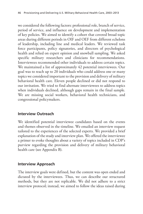we considered the following factors: professional role, branch of service, period of service, and influence on development and implementation of key policies. We aimed to identify a cohort that covered broad topic areas during different periods in OIF and OEF from different echelons of leadership, including line and medical leaders. We reviewed task force participants, policy signatories, and directors of psychological health and relied on expert opinion and snowball sampling. We asked specific military researchers and clinicians for recommendations. Interviewees recommended other individuals to address certain topics. We maintained a list of approximately 42 potential interviewees. Our goal was to reach up to 20 individuals who could address one or many topics we considered important to the provision and delivery of military behavioral health care. Eleven people declined or did not respond to our invitation. We tried to find alternate interviewees to address topics when individuals declined, although gaps remain in the final sample. We are missing social workers, behavioral health technicians, and congressional policymakers.

# **Interview Outreach**

We identified potential interviewee candidates based on the events and themes observed in the timeline. We emailed an interview request tailored to the experiences of the selected experts. We provided a brief explanation of the study and interview plan. We offered the interviewee a primer to evoke thoughts about a variety of topics included in CDP's purview regarding the provision and delivery of military behavioral health care (see Appendix B).

# **Interview Approach**

The interview goals were defined, but the content was open ended and dictated by the interviewees. Thus, we can describe our structured methods, but they are not replicable. We did not adhere to a strict interview protocol; instead, we aimed to follow the ideas raised during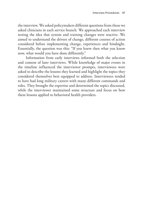the interview. We asked policymakers different questions from those we asked clinicians in each service branch. We approached each interview testing the idea that system and training changes were reactive. We aimed to understand the drivers of change, different courses of action considered before implementing change, experiences and hindsight. Essentially, the question was this: "If you knew then what you know now, what would you have done differently."

Information from early interviews informed both the selection and content of later interviews. While knowledge of major events in the timeline influenced the interviewer prompts, interviewees were asked to describe the lessons they learned and highlight the topics they considered themselves best equipped to address. Interviewees tended to have had long military careers with many different commands and roles. They brought the expertise and determined the topics discussed, while the interviewer maintained some structure and focus on how these lessons applied to behavioral health providers.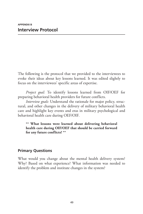The following is the protocol that we provided to the interviewees to evoke their ideas about key lessons learned. It was edited slightly to focus on the interviewees' specific areas of expertise.

*Project goal:* To identify lessons learned from OIF/OEF for preparing behavioral health providers for future conflicts.

*Interview goals:* Understand the rationale for major policy, structural, and other changes in the delivery of military behavioral health care and highlight key events and eras in military psychological and behavioral health care during OEF/OIF.

**\*\* What lessons were learned about delivering behavioral health care during OIF/OEF that should be carried forward for any future conflicts? \*\***

# **Primary Questions**

What would you change about the mental health delivery system? Why? Based on what experience? What information was needed to identify the problem and institute changes in the system?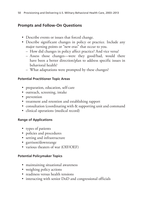# **Prompts and Follow-On Questions**

- Describe events or issues that forced change.
- Describe significant changes in policy or practice. Include any major turning points or "new eras" that occur to you.
	- How did changes in policy affect practice? And vice versa?
	- Assess those changes—were they good/bad, would there have been a better direction/plan to address specific issues in behavioral health?
	- What adaptations were prompted by these changes?

## **Potential Practitioner Topic Areas**

- preparation, education, self-care
- outreach, screening, intake
- prevention
- treatment and retention and establishing rapport
- consultation (coordinating with & supporting unit and command
- clinical operations (medical record)

## **Range of Applications**

- types of patients
- policies and procedures
- setting and infrastructure
- garrison/downrange
- various theaters of war (OIF/OEF)

## **Potential Policymaker Topics**

- maintaining situational awareness
- weighing policy actions
- readiness versus health tensions
- interacting with senior DoD and congressional officials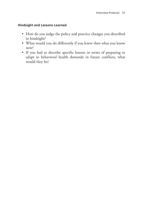## **Hindsight and Lessons Learned**

- How do you judge the policy and practice changes you described in hindsight?
- What would you do differently if you knew then what you know now?
- If you had to describe specific lessons in terms of preparing to adapt to behavioral health demands in future conflicts, what would they be?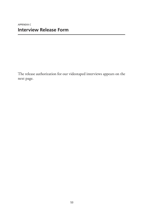The release authorization for our videotaped interviews appears on the next page.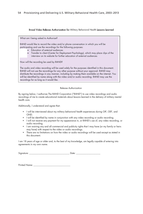#### Broad Video Release Authorization for Military Behavioral Health Lessons Learned

What am I being asked to Authorize?

RAND would like to record the video and/or phone conversation in which you will be participating and use the recordings for the following purposes:

- **•** Education of external audiences
- Transfer to client (Center for Deployment Psychology), which may place clips of the interview on its website for further education of external audiences

How will the recording be used by RAND?

The audio and video recording will be used solely for the purposes identified in this document. RAND will not use the recordings for any other purpose without your approval. RAND may distribute the recordings in any manner, including by making them available on the internet. You will be identified by name along with the video and/or audio recording. RAND may use the recordings for as long as it would like.

#### Release Authorization

By signing below, I authorize The RAND Corporation ("RAND") to use video recordings and audio recordings of me to create educational materials about lessons learned in the delivery of military mental health care.

Additionally, I understand and agree that:

- **I** will be interviewed about my military behavioral health experiences during OIF, OEF, and OND.
- I will be identified by name in conjunction with any video recording or audio recording.
- I will not receive any payment for my appearance in, or RAND's use of, any video recording, or audio recording.
- **I** am waiving any and all commercial and publicity rights that I may have (or my family or heirs may have) with respect to the video or audio recordings.
- There are no limitations on how the video or audio recordings will be used except as stated in this document.

I am 18 years of age or older and, to the best of my knowledge, am legally capable of entering into agreements in my own name.

| Signature: | Date: |  |
|------------|-------|--|
|            |       |  |

Printed Name: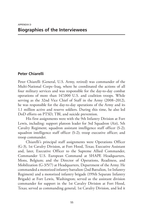# **Peter Chiarelli**

Peter Chiarelli (General, U.S. Army, retired) was commander of the Multi-National Corps–Iraq, where he coordinated the actions of all four military services and was responsible for the day-to-day combat operations of more than 147,000 U.S. and coalition troops. While serving as the 32nd Vice Chief of Staff in the Army (2008–2012), he was responsible for the day-to-day operations of the Army and its 1.1 million active and reserve soldiers. During this time, he also led DoD efforts on PTSD, TBI, and suicide prevention.

His first assignments were with the 9th Infantry Division at Fort Lewis, including: support platoon leader for 3rd Squadron (Air), 5th Cavalry Regiment; squadron assistant intelligence staff officer (S-2); squadron intelligence staff officer (S-2); troop executive officer; and troop commander.

Chiarelli's principal staff assignments were Operations Officer (G-3), 1st Cavalry Division, at Fort Hood, Texas; Executive Assistant and, later, Executive Officer to the Supreme Allied Commander, Commander U.S. European Command at SHAPE Headquarters, Mons, Belgium; and the Director of Operations, Readiness, and Mobilization (G-3/5/7) at Headquarters, Department of the Army. He commanded a motorized infantry battalion (2nd Battalion, 1st Infantry Regiment) and a motorized infantry brigade (199th Separate Infantry Brigade) at Fort Lewis, Washington; served as the assistant division commander for support in the 1st Cavalry Division at Fort Hood, Texas; served as commanding general, 1st Cavalry Division, and led it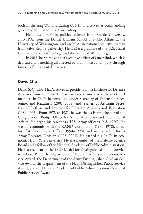both in the Iraq War and during OIF II; and served as commanding general of Multi-National Corps–Iraq.

He holds a B.S. in political science from Seattle University, an M.P.A. from the Daniel J. Evans School of Public Affairs at the University of Washington, and an M.A. in national security strategy from Salve Regina University. He is also a graduate of the U.S. Naval Command and Staff College and the National War College.

In 2018, he retired as chief executive officer of One Mind, which is dedicated to benefiting all affected by brain illness and injury through fostering fundamental changes.

# **David Chu**

David S. C. Chu, Ph.D., served as president of the Institute for Defense Analyses from 2009 to 2019, where he continues as an adjunct staff member. In DoD, he served as Under Secretary of Defense for Personnel and Readiness (2001–2009) and, earlier, as Assistant Secretary of Defense and Director for Program Analysis and Evaluation (1981–1993). From 1978 to 1981, he was the assistant director of the Congressional Budget Office for National Security and International Affairs. He began his career as a U.S. Army officer (1968–1970). He was an economist with the RAND Corporation (1970–1978), director of its Washington Office (1994–1998), and vice president for its Army Research Division (1998–2001). He earned his Ph.D. in economics from Yale University. He is a member of the Defense Science Board and a fellow of the National Academy of Public Administration. He is a recipient of the DoD Medal for Distinguished Public Service with Gold Palm, the Department of Veterans Affairs Meritorious Service Award, the Department of the Army Distinguished Civilian Service Award, the Department of the Navy Distinguished Public Service Award, and the National Academy of Public Administration's National Public Service Award.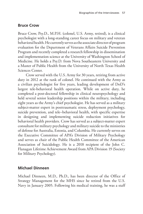# **Bruce Crow**

Bruce Crow, Psy.D., M.P.H. (colonel, U.S. Army, retired), is a clinical psychologist with a long-standing career focus on military and veteran behavioral health. He currently serves as the associate director of program evaluation for the Department of Veterans Affairs Suicide Prevention Program and recently completed a research fellowship in dissemination and implementation science at the University of Washington School of Medicine. He holds a Psy.D. from Nova Southeastern University and a Master of Public Health from the University of North Texas Health Sciences Center.

Crow served with the U.S. Army for 30 years, retiring from active duty in 2012 at the rank of colonel. He continued with the Army as a civilian psychologist for five years, leading development of DoD's largest tele-behavioral health operation. While on active duty, he completed a post-doctoral fellowship in clinical neuropsychology and held several senior leadership positions within the military, including eight years as the Army's chief psychologist. He has served as a military subject-matter expert in posttraumatic stress, deployment psychology, suicide prevention, and tele–behavioral health, with specific expertise in designing and implementing suicide reduction initiatives for behavioral health providers. Crow has served as a subject-matter expert consultant for military psychology and military suicide to the ministries of defense for Australia, Estonia, and Columbia. He currently serves on the Executive Committee of APA's Division of Military Psychology and serves as chair of the Public Health Committee of the American Association of Suicidology. He is a 2018 recipient of the John C. Flanagan Lifetime Achievement Award from APA Division 19 (Society for Military Psychology).

## **Michael Dinneen**

Michael Dinneen, M.D., Ph.D., has been director of the Office of Strategy Management for the MHS since he retired from the U.S. Navy in January 2005. Following his medical training, he was a staff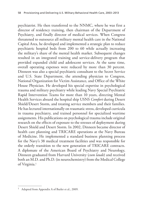psychiatrist. He then transferred to the NNMC, where he was first a director of residency training, then chairman of the Department of Psychiatry, and finally director of medical services. When Congress threatened to outsource all military mental health care in the National Capital Area, he developed and implemented a strategic plan to reduce psychiatric hospital beds from 200 to 60 while actually increasing the military's share of the mental health market. Subsequent changes resulted in an integrated training and service-delivery program that provided expanded child and adolescent services. At the same time, overall operating expenses were reduced by more than 30 percent. Dinneen was also a special psychiatric consultant to the Secret Service and U.S. State Department, the attending physician to Congress, National Organization for Victim Assistance, and Office of the White House Physician. He developed his special expertise in psychological trauma and military psychiatry while leading Navy Special Psychiatric Rapid Intervention Teams for more than 10 years, directing Mental Health Services aboard the hospital ship USNS *Comfort* during Desert Shield/Desert Storm, and treating service members and their families. He has lectured internationally on traumatic stress, developed curricula in trauma psychiatry, and trained personnel for specialized wartime assignments. His publications on psychological trauma include original research on the effects of exposure to the stresses of deployment during Desert Shield and Desert Storm. In 2002, Dinneen became director of health care planning and TRICARE operations at the Navy Bureau of Medicine. He implemented a standard business planning process for the Navy's 38 medical treatment facilities and was responsible for the orderly transition to the new generation of TRICARE contracts. A diplomate of the American Board of Psychiatry and Neurology, Dinneen graduated from Harvard University (*cum laude*) and received both an M.D. and Ph.D. (in neurochemistry) from the Medical College of Virginia.<sup>1</sup>

<sup>&</sup>lt;sup>1</sup> Adapted from Appendix A of Butler et al., 2009.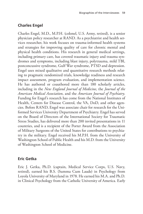# **Charles Engel**

Charles Engel, M.D., M.P.H. (colonel, U.S. Army, retired), is a senior physician policy researcher at RAND. As a psychiatrist and health services researcher, his work focuses on trauma-informed health systems and strategies for improving quality of care for chronic mental and physical health conditions. His research in general medical settings, including primary care, has covered traumatic injury and trauma syndromes and symptoms, including blast injury, polytrauma, mild TBI, postconcussive syndrome, Gulf War syndrome, PTSD and depression. Engel uses mixed qualitative and quantitative research methods relating to pragmatic randomized trials, knowledge readiness and research impact assessment, program evaluation, and implementation science. He has authored or coauthored more than 180 scholarly articles, including in the *New England Journal of Medicine*, the *Journal of the American Medical Association*, and the *American Journal of Psychiatry*. Funding for Engel's research has come from the National Institutes of Health, Centers for Disease Control, the VA, DoD, and other agencies. Before RAND, Engel was associate chair for research for the Uniformed Services University Department of Psychiatry. Engel has served on the Board of Directors of the International Society for Traumatic Stress Studies, has delivered more than 200 invited presentations in 11 countries, and is a recipient of the Porter Award from the Association of Military Surgeons of the United States for contributions to psychiatry in the military. Engel received his M.P.H. from the University of Washington School of Public Health and his M.D. from the University of Washington School of Medicine.

## **Eric Getka**

Eric J. Getka, Ph.D. (captain, Medical Service Corps, U.S. Navy, retired), earned his B.S. (Summa Cum Laude) in Psychology from Loyola University of Maryland in 1978. He earned his M.A. and Ph.D. in Clinical Psychology from the Catholic University of America. Early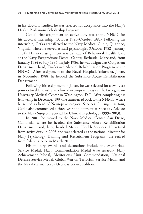in his doctoral studies, he was selected for acceptance into the Navy's Health Professions Scholarship Program.

Getka's first assignment on active duty was at the NNMC for his doctoral internship (October 1981–October 1982). Following his internship, Getka transferred to the Navy Medical Clinic, Quantico, Virginia, where he served as staff psychologist (October 1982–January 1984). His next assignment was as head of Behavioral Health Care at the Navy Postgraduate Dental Center, Bethesda, Maryland, from January 1984 to July 1986. In July 1986, he was assigned as Outpatient Department head, Tri-Service Alcohol Rehabilitation Program at the NNMC. After assignment to the Naval Hospital, Yokosuka, Japan, in November 1988, he headed the Substance Abuse Rehabilitation Department.

Following his assignment in Japan, he was selected for a two-year postdoctoral fellowship in clinical neuropsychology at the Georgetown University Medical Center in Washington, D.C. After completing his fellowship in December 1993, he transferred back to the NNMC, where he served as head of Neuropsychological Services. During that tour, Getka also commenced a three-year appointment as Specialty Advisor to the Navy Surgeon General for Clinical Psychology (1999–2003).

In 2001, he moved to the Navy Medical Center, San Diego, California, where he headed the Substance Abuse Rehabilitation Department and, later, headed Mental Health Services. He retired from active duty in 2005 and was selected as the national director for Navy Psychology Training and Recruitment Programs. He retired from federal service in March 2019.

His military awards and decorations include the Meritorious Service Medal, Navy Commendation Medal (two awards), Navy Achievement Medal, Meritorious Unit Commendation, National Defense Service Medal, Global War on Terrorism Service Medal, and the Navy/Marine Corps Overseas Service Ribbon.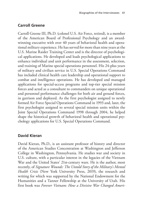## **Carroll Greene**

Carroll Greene III, Ph.D. (colonel U.S. Air Force, retired), is a member of the American Board of Professional Psychology and an awardwinning executive with over 40 years of behavioral health and operational military experience. He has served for more than nine years at the U.S. Marine Raider Training Center and is the director of psychological applications. He developed and leads psychological applications to enhance individual and unit performance in the assessment, selection, and training of Marine special operations personnel. His 24-plus years of military and civilian service in U.S. Special Operations Command has included clinical health care leadership and operational support to combat and intelligence operations. He has developed and managed applications for special-access programs and top-tier special mission forces and acted as a consultant to commanders on unique operational and personnel performance challenges for both air and ground forces, in garrison and deployed. As the first psychologist assigned to newly formed Air Force Special Operations Command in 1993 and, later, the first psychologist assigned to several special mission units within the Joint Special Operations Command 1998 through 2004, he helped shape the historical growth of behavioral health and operational psychology applications for U.S. Special Operations Command.

## **David Kieran**

David Kieran, Ph.D., is an assistant professor of history and director of the American Studies Concentration at Washington and Jefferson College in Washington, Pennsylvania. He studies war and society in U.S. culture, with a particular interest in the legacies of the Vietnam War and the United States' 21st-century wars. He is the author, most recently, of *Signature Wounds: The Untold Story of the Military's Mental Health Crisis* (New York University Press, 2019), the research and writing for which was supported by the National Endowment for the Humanities and a Tanner Fellowship at the University of Utah. His first book was *Forever Vietnam: How a Divisive War Changed Ameri-*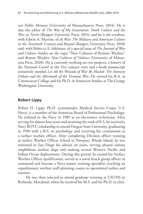*can Public Memory* (University of Massachusetts Press, 2014). He is also the editor of *The War of My Generation: Youth Culture and the War on Terror* (Rutgers University Press, 2015), and he is the coeditor, with Edwin A. Martini, of *At War: The Military and American Culture in the Twentieth Century and Beyond* (Rutgers University Press, 2018) and, with Rebecca A. Adelman, of a special issue of *The Journal of War and Culture Studies* on the topic "New Cultures of Remote Warfare" and *Remote Warfare: New Cultures of Violence* (University of Minnesota Press, 2020). He is currently working on two projects: a history of the National Guard in the 21st century wars and a book manuscript tentatively entitled *Let All the Wounds of War Be Healed: The Amnesty Debate and the Aftermath of the Vietnam War*. He earned his B.A. at Connecticut College and his Ph.D. in American Studies at The George Washington University.

# **Robert Lippy**

Robert D. Lippy, Ph.D. (commander, Medical Service Corps, U.S. Navy), is a member of the American Board of Professional Psychology. He enlisted in the Navy in 1989 as an electronics technician. After serving for almost four years and attaining the rank of E-5, he received a Navy ROTC scholarship to attend Oregon State University, graduating in 1996 with a B.S. in psychology and receiving his commission as a surface warfare officer. After completing Division officer training at surface Warfare Officer School in Newport, Rhode Island, he was stationed in San Diego for almost six years, serving aboard various amphibious warfare ships and making several Western Pacific and Indian Ocean deployments. During this period, he earned his Surface Warfare Officer qualification, served as a naval beach group officer in command and became a Navy master training specialist, teaching an expeditionary warfare staff planning course to operational sailors and marines.

He was then selected to attend graduate training at USUHS in Bethesda, Maryland, where he received his M.S. and his Ph.D. in clini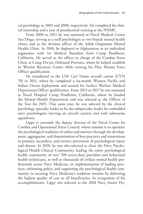cal psychology in 2005 and 2008, respectively. He completed his clinical internship and a year of postdoctoral training at the NNMC.

From 2008 to 2011 he was stationed at Naval Medical Center San Diego, serving as a staff psychologist at two branch mental health clinics and as the division officer of the Adult Outpatient Mental Health Clinic. In 2010, he deployed to Afghanistan as an individual augmentee with 1st Medical Battalion from Camp Pendleton, California. He served as the officer in charge of the Combat Stress Clinic at Camp Dwyer, Helmand Province, where he helped establish its Warrior Recovery Center while earning his Fleet Marine Force Officer qualification.

He transferred to the USS *Carl Vinson* aircraft carrier (CVN 70) in 2011, where he completed a six-month Western Pacific and Indian Ocean deployment and earned his Surface Warfare Medical Department Officer qualification. From 2013 to 2017 he was stationed at Naval Hospital Camp Pendleton, California, where he headed the Mental Health Department and was selected as the Officer of the Year for 2015. That same year, he was selected by the clinical psychology specialty leader to be the subspecialty leader for embedded navy psychologists (serving on aircraft carriers and with submarine squadrons).

Lippy is currently the deputy director of the Naval Center for Combat and Operational Stress Control, whose mission is to optimize the psychological readiness of sailors and marines through the development, aggregation, and dissemination of best practices and innovations in primary, secondary, and tertiary prevention of psychological injury and disease. In 2018, he was also selected to chair the Navy Psychological Health Clinical Community, leading the entire psychological health community of over 700 active-duty providers and behavioral health technicians, as well as thousands of civilian mental health professionals across Navy Medicine, in implementation of leading practices, informing policy, and supporting the psychological health community in securing Navy Medicine's readiness mission by delivering the highest quality of care to all beneficiaries. In recognition of his accomplishments, Lippy was selected as the 2018 Navy Senior Psy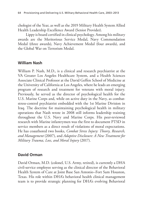chologist of the Year, as well as the 2019 Military Health System Allied Health Leadership Excellence Award (Senior Provider).

Lippy is board certified in clinical psychology. Among his military awards are the Meritorious Service Medal, Navy Commendation Medal (three awards), Navy Achievement Medal (four awards), and the Global War on Terrorism Medal.

#### **William Nash**

William P. Nash, M.D., is a clinical and research psychiatrist at the VA Greater Los Angeles Healthcare System, and a Health Sciences Associate Clinical Professor at the David Geffen School of Medicine at the University of California at Los Angeles, where he leads an emerging program of research and treatment for veterans with moral injury. Previously, he served as the director of psychological health for the U.S. Marine Corps and, while on active duty in the Navy, as combatstress-control psychiatrist embedded with the 1st Marine Division in Iraq. The doctrine for maintaining psychological health in military operations that Nash wrote in 2008 still informs leadership training throughout the U.S. Navy and Marine Corps. His peer-reviewed research with Marine infantrymen was the first to document PTSD in service members as a direct result of violations of moral expectations. He has coauthored two books, *Combat Stress Injury: Theory, Research, and Management* (2007), and *Adaptive Disclosure: A New Treatment for Military Trauma, Loss, and Moral Injury* (2017).

## **David Orman**

David Orman, M.D. (colonel, U.S. Army, retired), is currently a DHA civil-service employee serving as the clinical director of the Behavioral Health System of Care at Joint Base San Antonio–Fort Sam Houston, Texas. His role within DHA's behavioral health clinical management team is to provide strategic planning for DHA's evolving Behavioral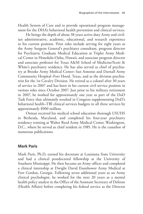Health System of Care and to provide operational program management for the DHA's behavioral health prevention and clinical services.

He brings the depth of about 38 years active duty Army and civilian administrative, academic, educational, and research experience to his current position. Prior roles include serving for eight years as the Army Surgeon General's psychiatry consultant, program director for Psychiatric Graduate Medical Education at Tripler Army Medical Center in Honolulu-Oahu, Hawaii, and associate program director and associate professor for Texas A&M School of Medicine/Scott & White's psychiatry residency. He has also served as chief of psychiatry at Brooke Army Medical Center–San Antonio and Darnall Army Community Hospital–Fort Hood, Texas, and as the division psychiatrist for the 1st Cavalry Division. He retired as a colonel after 30 years of service in 2007 and has been in his current civil service position in various roles since October 2007. Just prior to his military retirement in 2007, he worked for approximately one year as part of the DoD Task Force that ultimately resulted in Congress supplementing DoD's behavioral health–TBI clinical services budgets in all three services by approximately \$900 million.

Orman received his medical school education thorough USUHS in Bethesda, Maryland, and completed his four-year psychiatry residency training at Walter Reed Army Medical Center, Washington, D.C., where he served as chief resident in 1985. He is the coauthor of numerous publications.

#### **Mark Paris**

Mark Paris, Ph.D, earned his doctorate at Louisiana State University and had a clinical postdoctoral fellowship at the University of Southern Mississippi. He then became an Army officer and completed a clinical internship at Dwight David Eisenhower Army Medical at Fort Gordon, Georgia. Following seven additional years as an Army clinical psychologist, he worked for the next 20 years as a mental health policy analyst in the Office of the Assistant Secretary of Defense (Health Affairs) before completing his federal service as the Director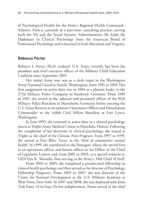of Psychological Health for the Army's Regional Health Command– Atlantic. Paris is currently in a part-time consulting practice, serving both the VA and the Social Security Administration. He holds the Diplomate in Clinical Psychology from the American Board of Professional Psychology and is licensed in both Maryland and Virginia.

#### **Rebecca Porter**

Rebecca I. Porter, Ph.D. (colonel, U.S. Army, retired), has been the president and chief executive officer of the Military Child Education Coalition since September 2019.

Her initial Army tour was as a clerk typist in the Washington Army National Guard in Seattle, Washington, from 1981 to 1983. Her first assignment on active duty was in 1984 as a platoon leader in the 272d Military Police Company in Kaefertal, Germany. From 1985 to 1987, she served as the adjutant and personnel officer of the 95th Military Police Battalion in Mannheim, Germany, before entering the U.S. Army Reserve as an assistant Operations Officer and Detachment Commander in the 448th Civil Affairs Battalion at Fort Lewis, Washington.

In June 1995, she returned to active duty as a clinical psychology intern at Tripler Army Medical Center in Honolulu, Hawaii. Following the completion of her doctorate in clinical psychology, she stayed at Tripler as the chief of the Chronic Pain Program. From 1997 to 1999, she served at Fort Bliss, Texas, as the chief of community mental health. In 1999, she transferred to the Pentagon, where she served first as an operations officer and liaison officer in the Office of the Chief of Legislative Liaison and, from 2001 to 2003, as a special assistant to GEN Eric K. Shinseki, then serving as the Army's 34th Chief of Staff.

From 2003 to 2005, she completed a postdoctoral fellowship in clinical health psychology and then served as the director of Psychology Fellowship Programs. From 2005 to 2007, she was director of the Center for Personal Development at the U.S. Military Academy at West Point, New York. In 2007 and 2008, she was deployed with Joint Task Force 34 in Iraq. On her redeployment, Porter served as the chief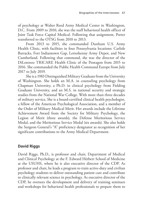of psychology at Walter Reed Army Medical Center in Washington, D.C. From 2009 to 2010, she was the staff behavioral health officer of Joint Task Force Capital Medical. Following that assignment, Porter transferred to the OTSG from 2010 to 2013.

From 2013 to 2015, she commanded Dunham U.S. Army Health Clinic, with facilities in four Pennsylvania locations: Carlisle Barracks, Fort Indiantown Gap, Letterkenny Army Depot, and New Cumberland. Following that command, she was the director of the DiLorenzo TRICARE Health Clinic of the Pentagon from 2015 to 2016. She commanded the Public Health Command Europe from July 2017 to July 2019.

She is a 1983 Distinguished Military Graduate from the University of Washington. She holds an M.A. in counseling psychology from Chapman University, a Ph.D. in clinical psychology from Fielding Graduate University, and an M.S. in national security and strategic studies from the National War College. With more than three decades of military service, She is a board-certified clinical health psychologist, a fellow of the American Psychological Association, and a member of the Order of Military Medical Merit. Her awards include the Lifetime Achievement Award from the Society for Military Psychology, the Legion of Merit (three awards), the Defense Meritorious Service Medal, and the Meritorious Service Medal (six awards). She also holds the Surgeon General's "A" proficiency designator as recognition of her significant contributions to the Army Medical Department.

# **David Riggs**

David Riggs, Ph.D., is professor and chair, Department of Medical and Clinical Psychology at the F. Edward Hérbert School of Medicine at the USUHS, where he is also executive director of the CDP. As professor and chair, he leads a program to train active-duty and civilian psychology students to deliver outstanding patient care and contribute to clinically relevant science in psychology. As executive director of the CDP, he oversees the development and delivery of training seminars and workshops for behavioral health professionals to prepare them to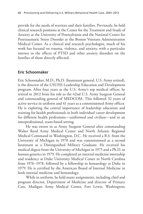provide for the needs of warriors and their families. Previously, he held clinical research positions at the Center for the Treatment and Study of Anxiety at the University of Pennsylvania and the National Center for Posttraumatic Stress Disorder at the Boston Veterans Administration Medical Center. As a clinical and research psychologist, much of his work has focused on trauma, violence, and anxiety, with a particular interest in the effects of PTSD and other anxiety disorders on the families of those directly affected.

#### **Eric Schoomaker**

Eric Schoomaker, M.D., Ph.D. (lieutenant general, U.S. Army retired), is the director of the USUHS Leadership Education and Development program. After four years as the U.S. Army's top medical officer, he retired in 2012 from his role as the 42nd U.S. Army Surgeon General and commanding general of MEDCOM. This followed 32 years of active service in uniform and 41 years as a commissioned Army officer. He is exploring the central importance of leadership education and training for health professionals in both individual career development for different health professions—uniformed and civilian—and in an interprofessional, team-based setting.

He was sworn in as Army Surgeon General after commanding Walter Reed Army Medical Center and North Atlantic Regional Medical Command in Washington, D.C. He received a B.S. from the University of Michigan in 1970 and was commissioned as a second lieutenant as a Distinguished Military Graduate. He received his medical degree from the University of Michigan in 1975 and a Ph.D. in human genetics in 1979. He completed an internal medicine internship and residency at Duke University Medical Center in North Carolina from 1976–1978, followed by a fellowship in hematology at Duke in 1979. He is certified by the American Board of Internal Medicine in both internal medicine and hematology.

While in uniform, he held many assignments, including chief and program director, Department of Medicine and director of Primary Care, Madigan Army Medical Center, Fort Lewis, Washington;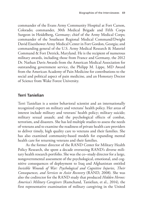commander of the Evans Army Community Hospital at Fort Carson, Colorado; commander, 30th Medical Brigade and Fifth Corps Surgeon in Heidelberg, Germany; chief of the Army Medical Corps; commander of the Southeast Regional Medical Command/Dwight David Eisenhower Army Medical Center in Fort Gordon, Georgia; and commanding general of the U.S. Army Medical Research & Materiel Command & Fort Detrick, Maryland. He is the recipient of numerous military awards, including those from France and Germany, the 2012 Dr. Nathan Davis Awards from the American Medical Association for outstanding government service, the Philipp M. Lippe, MD Award from the American Academy of Pain Medicine for contributions to the social and political aspect of pain medicine, and an Honorary Doctor of Science from Wake Forest University.

## **Terri Tanielian**

Terri Tanielian is a senior behavioral scientist and an internationally recognized expert on military and veterans' health policy. Her areas of interest include military and veterans' health policy; military suicide; military sexual assault; and the psychological effects of combat, terrorism, and disasters. She has led multiple studies to assess the needs of veterans and to examine the readiness of private health care providers to deliver timely, high quality care to veterans and their families. She has also examined community-based models for expanding mental health care for returning veterans and their families.

As the former director of the RAND Center for Military Health Policy Research, she spent a decade overseeing RAND's diverse military health research portfolio. She was the co–study director for a large, nongovernmental assessment of the psychological, emotional, and cognitive consequences of deployment to Iraq and Afghanistan entitled *Invisible Wounds of War: Psychological and Cognitive Injuries, Their Consequences, and Services to Assist Recovery* (RAND, 2008). She was also the codirector for the RAND study that produced *Hidden Heroes: America's Military Caregivers* (Ramchand, Tanielian, et al., 2014), the first representative examination of military caregiving in the United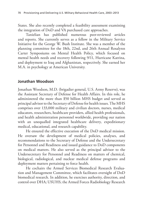States. She also recently completed a feasibility assessment examining the integration of DoD and VA purchased care approaches.

Tanielian has published numerous peer-reviewed articles and reports. She currently serves as a fellow in the Military Service Initiative for the George W. Bush Institute. She was a member of the planning committee for the 18th, 22nd, and 26th Annual Rosalynn Carter Symposiums on Mental Health Policy, which focused on mental health needs and recovery following 9/11, Hurricane Katrina, and deployment to Iraq and Afghanistan, respectively. She earned her M.A. in psychology at American University.

#### **Jonathan Woodson**

Jonathan Woodson, M.D. (brigadier general, U.S. Army Reserve), was the Assistant Secretary of Defense for Health Affairs. In this role, he administered the more than \$50 billion MHS budget and served as principal advisor to the Secretary of Defense for health issues. The MHS comprises over 133,000 military and civilian doctors, nurses, medical educators, researchers, healthcare providers, allied health professionals, and health administration personnel worldwide, providing our nation with an unequalled integrated healthcare delivery, expeditionary medical, educational, and research capability.

He ensured the effective execution of the DoD medical mission. He oversaw the development of medical policies, analyses, and recommendations to the Secretary of Defense and the Undersecretary for Personnel and Readiness and issued guidance to DoD components on medical matters. He also served as the principal advisor to the Undersecretary for Personnel and Readiness on matters of chemical, biological, radiological, and nuclear medical defense programs and deployment matters pertaining to force health.

He cochairs the Armed Services Biomedical Research Evaluation and Management Committee, which facilitates oversight of DoD biomedical research. In addition, he exercises authority, direction, and control over DHA; USUHS; the Armed Forces Radiobiology Research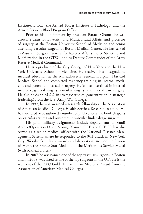Institute; DCoE; the Armed Forces Institute of Pathology; and the Armed Services Blood Program Office.

Prior to his appointment by President Barack Obama, he was associate dean for Diversity and Multicultural Affairs and professor of surgery at the Boston University School of Medicine and senior attending vascular surgeon at Boston Medical Center. He has served as Assistant Surgeon General for Reserve Affairs, Force Structure and Mobilization in the OTSG, and as Deputy Commander of the Army Reserve Medical Command.

He is a graduate of the City College of New York and the New York University School of Medicine. He received his postgraduate medical education at the Massachusetts General Hospital, Harvard Medical School and completed residency training in internal medicine and general and vascular surgery. He is board certified in internal medicine, general surgery, vascular surgery, and critical care surgery. He also holds an M.S.S. in strategic studies (concentration in strategic leadership) from the U.S. Army War College.

In 1992, he was awarded a research fellowship at the Association of American Medical Colleges Health Services Research Institute. He has authored or coauthored a number of publications and book chapters on vascular trauma and outcomes in vascular limb salvage surgery.

His prior military assignments include deployments to Saudi Arabia (Operation Desert Storm), Kosovo, OEF, and OIF. He has also served as a senior medical officer with the National Disaster Management System, where he responded to the 9/11 attack in New York City. Woodson's military awards and decorations include the Legion of Merit, the Bronze Star Medal, and the Meritorious Service Medal (with oak leaf cluster).

In 2007, he was named one of the top vascular surgeons in Boston and, in 2008, was listed as one of the top surgeons in the U.S. He is the recipient of the 2009 Gold Humanism in Medicine Award from the Association of American Medical Colleges.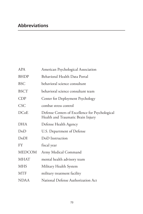| <b>APA</b>    | American Psychological Association                                                   |
|---------------|--------------------------------------------------------------------------------------|
| <b>BHDP</b>   | Behavioral Health Data Portal                                                        |
| <b>BSC</b>    | behavioral science consultant                                                        |
| <b>BSCT</b>   | behavioral science consultant team                                                   |
| <b>CDP</b>    | <b>Center for Deployment Psychology</b>                                              |
| <b>CSC</b>    | combat stress control                                                                |
| <b>DCoE</b>   | Defense Centers of Excellence for Psychological<br>Health and Traumatic Brain Injury |
| <b>DHA</b>    | Defense Health Agency                                                                |
| DoD           | U.S. Department of Defense                                                           |
| DoDI          | DoD Instruction                                                                      |
| FY            | fiscal year                                                                          |
| <b>MEDCOM</b> | Army Medical Command                                                                 |
| <b>MHAT</b>   | mental health advisory team                                                          |
| <b>MHS</b>    | Military Health System                                                               |
| <b>MTF</b>    | military treatment facility                                                          |
| <b>NDAA</b>   | National Defense Authorization Act                                                   |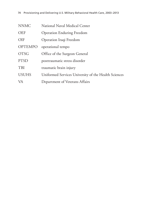| <b>NNMC</b>    | National Naval Medical Center                        |
|----------------|------------------------------------------------------|
| <b>OEF</b>     | <b>Operation Enduring Freedom</b>                    |
| <b>OIF</b>     | Operation Iraqi Freedom                              |
| <b>OPTEMPO</b> | operational tempo                                    |
| <b>OTSG</b>    | Office of the Surgeon General                        |
| <b>PTSD</b>    | posttraumatic stress disorder                        |
| <b>TBI</b>     | traumatic brain injury                               |
| <b>USUHS</b>   | Uniformed Services University of the Health Sciences |
| VA             | Department of Veterans Affairs                       |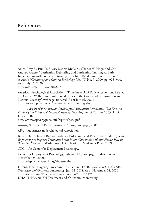# **References**

Adler, Amy B., Paul D. Bliese, Dennis McGurk, Charles W. Hoge, and Carl [Andrew Castro, "Battlemind Debriefing and Bat](https://www.apa.org/pubs/info/reports/pens.pdf)tlemind Training as Early Interventions with Soldiers Returning from Iraq: Randomization by Platoon," *Journal of Consulting and Clinical Psychology*, Vol. 77, No. 5, 2009, pp. 928–940. As of July 16, 2020: https://doi.org/10.1037/a0016877

American Psychological Association, "Timeline of APA Policies & Actions Related to Detainee Welfare and Professional Ethics in the Context of Interrogation and National Security," webpage, undated. As of July 16, 2020: https://www.apa.org/news/press/statements/interrogations

———, *Report of the American Psychological Association Presidential Task Force on [Psychological Ethics and National Security](https://deploymentpsych.org/about/main)*, Washington, D.C., June 2005. As of July 21, 2020:

https://www.apa.org/pubs/info/reports/pens.pdf

[———, "Chapter XIV. International Affairs," webpage, 2008.](https://health.mil/Reference-Center/Policies/2018/07/12/DHA-PI-6490-01-BH-Treatment-and-Outcomes-Monitoring)

APA—*See* American Psychological Association.

Butler, David, Jessica Buono, Frederick Erdtmann, and Proctor Reid, eds., *Systems Engineering to Improve Traumatic Brain Injury Care in the Military Health System: Workshop Summary*, Washington, D.C.: National Academies Press, 2009.

CDP—*See* Center for Deployment Psychology.

Center for Deployment Psychology, "About CDP," webpage, undated. As of November 24, 2020: https://deploymentpsych.org/about/main

Defense Health Agency Procedural Instruction 6490.02, *Behavioral Health (BH) Treatment and Outcomes Monitoring*, July 12, 2018. As of November 24, 2020: https://health.mil/Reference-Center/Policies/2018/07/12/ DHA-PI-6490-01-BH-Treatment-and-Outcomes-Monitoring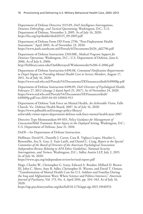76 Provisioning and Delivering U.S. Military Behavioral Health Care, 2003–2013

Department of Defense Directive 3115.09, *DoD Intelligence Interrogations, Detainee Debriefings, and Tactical Questioning*, Washington, D.C.: U.S. [Department of Defense, November 3, 2005. As of July 16, 2020:](https://www.esd.whs.mil/Portals/54/Documents/DD/issuances/dodi/649008p.pdf)  https://fas.org/irp/doddir/dod/d3115\_09-2005.pdf

Department of Defense Form DD Form 2796, "Post-Deployment Health Assessment," April 2003. As of November 23, 2020: [https://www.jiatfs.southcom.mil/Portals/4/Documents/J4/J4\\_dd2796](https://www.esd.whs.mil/Portals/54/Documents/DD/issuances/dodi/649009p.pdf?ver=2019-04-03-145810-913).pdf

Department of Defense Instruction 2310.08E, *Medical Program Support for Detainee Operations*, Washington, D.C.: U.S. Department of Defense, June 6, 2006. As of July 6, 2006: [http://hrlibrary.umn.edu/OathBetrayed/Winkenwerder%206-6-2006.pdf](https://www.pdhealth.mil/strategy-policy-library/achievable-vision-report-department-defense-task-force-mental-health-june-2007)

Department of Defense Instruction 6490.08, *Command Notification Requirements to Dispel Stigma in Providing Mental Health Care to Service Members*, August 17, 2011. As of July 16, 2020: https://www.esd.whs.mil/Portals/54/Documents/DD/issuances/dodi/649008p.pdf

Department of Defense Instruction 6490.09, *DoD Directors of Psychological Health*, February 27, 2012 (change 2 dated April 25, 2017). As of November 24, 2020: https://www.esd.whs.mil/Portals/54/Documents/DD/issuances/dodi/ 649009p.pdf?ver=2019-04-03-145810-913

Department of Defense Task Force on Mental Health, *An Achievable Vision,* Falls Church, Va.: Defense Health Board, 2007. As of July 16, 2020: [https://www.pdhealth.mil/strategy-policy-library/](https://www.apa.org/independent-review/revised-report.pdf) achievable-vision-report-department-defense-task-force-mental-health-june-2007

Directive Type Memorandum 09-033, *Policy Guidance for Management of Concussion/Mild Traumatic Brain Injury in the Deployed Setting*, Washington, D.C.: U.S. Department of Defense, June 21, 2010.

DoDI—*See* Department of Defense Instruction.

[Hoffman, David H., Danielle J. Carter, Cara R. Viglucci Lopez, Heathe](https://ajp.psychiatryonline.org/doi/full/10.1176/appi.ajp.2015.15040553)r L. Benzmiller, Ava X. Guo, S. Yasir Latifi, and Daniel C. Craig, *Report to the Special Committee of the Board of Directors of the American Psychological Association: Independent Review Relating to APA Ethics Guidelines, National Security Interrogations, and Torture*, Washington, D.C.: Sidley Austin LLP, July 2, 2015. As of July 16, 2020:

https://www.apa.org/independent-review/revised-report.pdf

Hoge, Charles W., Christopher G. Ivany, Edward A. Brusher, Millard D. Brown III, John C. Shero, Amy B. Adler, Christopher H. Warner, and David T. Orman, "Transformation of Mental Health Care for U.S. Soldiers and Families During the Iraq and Afghanistan Wars: Where Science and Politics Intersect," *American Journal of Psychiatry*, Vol. 173, No. 4, April 2016, pp. 334–343. As of July 16, 2020:

https://ajp.psychiatryonline.org/doi/full/10.1176/appi.ajp.2015.15040553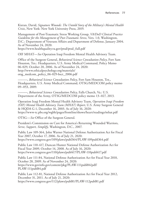References 77

Kieran, David, *[Signature Wounds: The Untold S](http://www.ethicalpsychology.org/materials/otsg_medcom_policy_06-029-bsct_2006.pdf)tory of the Military's Mental Health Crisis*, New York: New York University Press, 2019.

Management of Post-Traumatic Stress Working Group, *VA/DoD Clinical Practice Guideline for the Management of Post-Traumatic Stress*, Vers. 1.0, Washington, D.C.: Department of Veterans Affairs and Department of Defense, January 2004. As of November 24, 2020:

https://www.healthquality.va.gov/ptsd/ptsd\_full.pdf

OIF MHAT—*See* Operation Iraqi Freedom Mental Health Advisory Team.

Office of the Surgeon General, *Behavioral Science Consultation Policy*, Fort Sam [Houston, Tex.: Headquarters, U.S. Army Medical Command, Policy Memo](https://www-tc.pbs.org/wgbh/pages/frontline/shows/heart/readings/mhat.pdf)  06-029, October 20, 2006. As of November 24, 2020: http://www.ethicalpsychology.org/materials/ otsg\_medcom\_policy\_06-029-bsct\_2006.pdf

———, *Behavioral Science Consultation Policy*, Fort Sam Houston, Tex., Headquarters, U.S. Army Medical Command, OTSG/MEDCOM policy memo 09–053, 2009.

———, *[Behavioral Science Consultation Policy](https://www.congress.gov/109/plaws/publ364/PLAW-109publ364.pdf)*, Falls Church, Va.: U.S. Department of the Army, OTSG/MEDCOM policy memo 13–027, 2013.

Operation Iraqi Freedom Mental Health Advisory Team, *Operation Iraqi Freedom [\(OIF\) Mental Health Advisory Team \(MHAT\) Report](https://www.congress.gov/110/plaws/publ417/PLAW-110publ417.pdf)*, U.S. Army Surgeon General & HQDA G-1, December 16, 2003. As of July 16, 2020: https://www-tc.pbs.org/wgbh/pages/frontline/shows/heart/readings/mhat.pdf

OTSG—*See* [Office of the Surgeon General.](https://www.govinfo.gov/content/pkg/PLAW-111publ84/pdf/PLAW-111publ84.pdf)

President's Commission on Care for America's Returning Wounded Warriors, *Serve, Support, Simplify,* Washington, D.C., 2007.

[Public Law 109-364, John Warner National Defense Authorization](https://www.congress.gov/112/plaws/publ81/PLAW-112publ81.pdf) Act for Fiscal Year 2007, October 17, 2006. As of July 21, 2020: https://www.congress.gov/109/plaws/publ364/PLAW-109publ364.pdf

Public Law 110-417, Duncan Hunter National Defense Authorization Act for Fiscal Year 2009, October 14, 2008. As of July 16, 2020: https://www.congress.gov/110/plaws/publ417/PLAW-110publ417.pdf

Public Law 111-84, National Defense Authorization Act for Fiscal Year 2010, October 28, 2009. As of November 24, 2020: https://www.govinfo.gov/content/pkg/PLAW-111publ84/pdf/ PLAW-111publ84.pdf

Public Law 112-81, National Defense Authorization Act for Fiscal Year 2012, December 31, 2011. As of July 21, 2020: https://www.congress.gov/112/plaws/publ81/PLAW-112publ81.pdf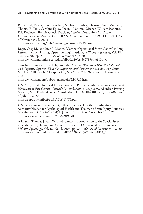[78 Provisioning and Delivering U.S. Military Behavioral Health Care, 2](https://www.tandfonline.com/doi/full/10.1207/s15327876mp1804_4)003–2013

Ramchand, Rajeev, Terri Tanielian, Michael P. Fisher, Christine Anne Vaughan, Thomas E. Trail, Caroline Epley, Phoenix Voorhies, Michael William Robbins, [Eric Robinson, Bonnie Ghosh-Dastidar,](https://www.rand.org/pubs/monographs/MG720.html) *Hidden Heroes: America's Military Caregivers*, Santa Monica, Calif.: RAND Corporation, RR-499-TEDF, 2014. As of November 24, 2020:

https://www.rand.org/pubs/research\_reports/RR499.html

Reger, Greg M., and Bret A. Moore, "Combat Operational Stress Control in Iraq: [Lessons Learned During Operation Iraqi Free](https://apps.dtic.mil/sti/pdfs/ADA515975.pdf)dom," *Military Psychology*, Vol. 18, No. 4, 2006, pp. 297–307. As of December 4, 2020: https://www.tandfonline.com/doi/full/10.1207/s15327876mp1804\_4

Tanielian, Terri and Lisa H. Jaycox, eds., *Invisible Wounds of War: Psychological [and Cognitive Injuries, Their Consequences, a](https://www.gao.gov/assets/590/587919.pdf)nd Services to Assist Recovery*, Santa Monica, Calif.: RAND Corporation, MG-720-CCF, 2008. As of November 21, 2020:

https://www.rand.org/pubs/monographs/MG720.html

[U.S. Army Center for Health Promotion and Preventive Medicine,](https://www.tandfonline.com/doi/full/10.1207/s15327876mp1804_1) *Investigation of Homicides at Fort Carson, Colorado November 2008–May 2009*, Aberdeen Proving Ground, Md., Epidemiologic Consultation No. 14-HK-OB1U-09, July 2009. As of July 16, 2020:

https://apps.dtic.mil/sti/pdfs/ADA515975.pdf

U.S. Government Accountability Office, Defense Health: Coordinating Authority Needed for Psychological Health and Traumatic Brain Injury Activities, Washington, D.C., GAO-12-154, January 2012. As of November 23, 2020: https://www.gao.gov/assets/590/587919.pdf

Williams, Thomas J., and W. Brad Johnson, "Introduction to the Special Issue: Operational Psychology and Clinical Practice in Operational Environments," *Military Psychology*, Vol. 18, No. 4, 2006, pp. 261–268. As of December 4, 2020: https://www.tandfonline.com/doi/full/10.1207/s15327876mp1804\_1